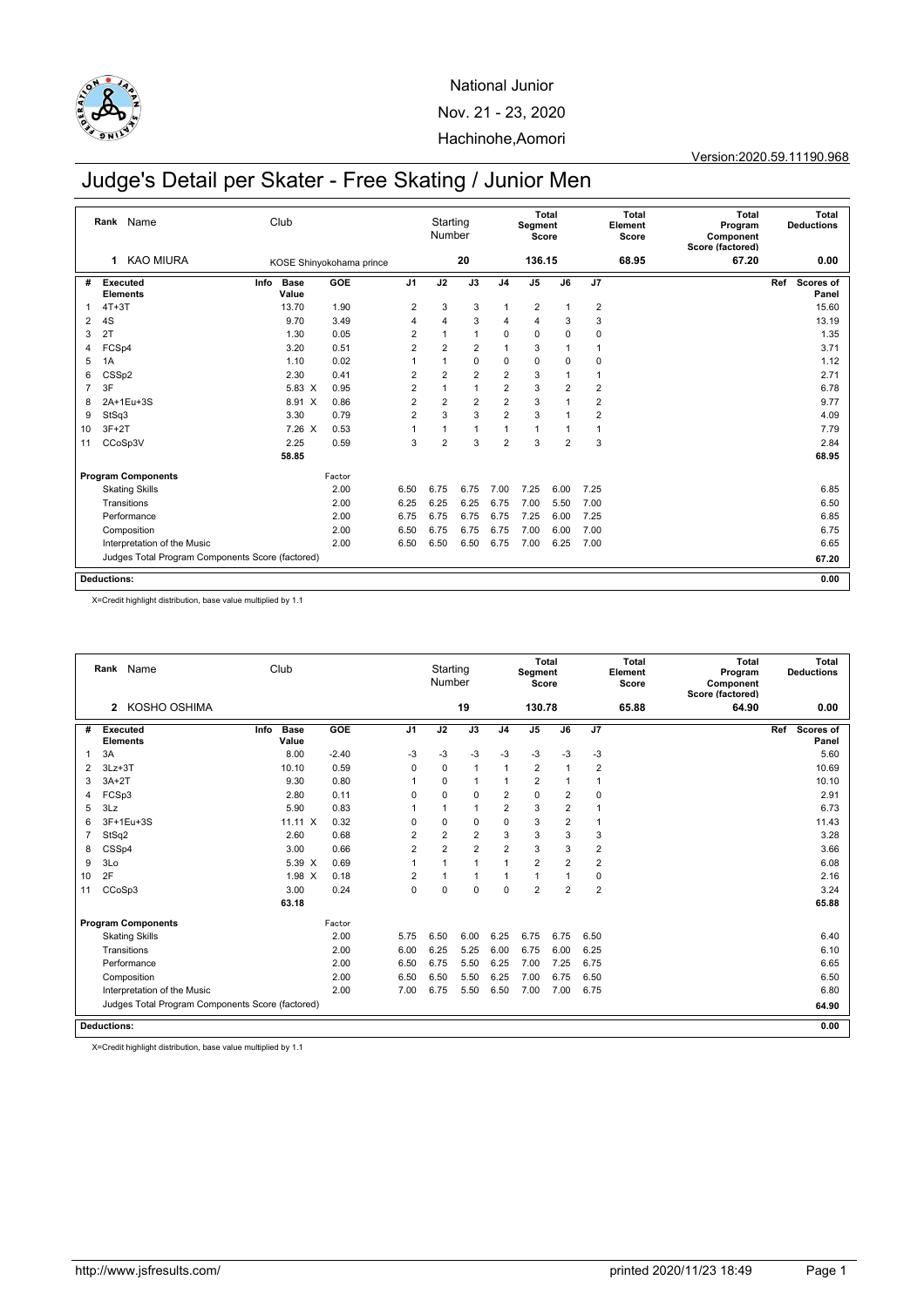

Version:2020.59.11190.968

# Judge's Detail per Skater - Free Skating / Junior Men

|                | Name<br>Rank                                     | Club                  |                          |                | Starting<br>Number |                |                | Segment<br>Score        | Total          |                | <b>Total</b><br>Element<br>Score | <b>Total</b><br>Program<br>Component<br>Score (factored) |     | Total<br><b>Deductions</b> |
|----------------|--------------------------------------------------|-----------------------|--------------------------|----------------|--------------------|----------------|----------------|-------------------------|----------------|----------------|----------------------------------|----------------------------------------------------------|-----|----------------------------|
|                | <b>KAO MIURA</b><br>1                            |                       | KOSE Shinyokohama prince |                |                    | 20             |                | 136.15                  |                |                | 68.95                            | 67.20                                                    |     | 0.00                       |
| #              | Executed<br><b>Elements</b>                      | Info<br>Base<br>Value | GOE                      | J <sub>1</sub> | J2                 | J3             | J <sub>4</sub> | J <sub>5</sub>          | J6             | J7             |                                  |                                                          | Ref | Scores of<br>Panel         |
| 1              | $4T+3T$                                          | 13.70                 | 1.90                     | 2              | 3                  | 3              | 1              | $\overline{\mathbf{c}}$ |                | $\overline{c}$ |                                  |                                                          |     | 15.60                      |
| 2              | 4S                                               | 9.70                  | 3.49                     | $\overline{4}$ | 4                  | 3              | 4              | 4                       | 3              | 3              |                                  |                                                          |     | 13.19                      |
| 3              | 2T                                               | 1.30                  | 0.05                     | $\overline{2}$ |                    | $\mathbf{1}$   | 0              | 0                       | 0              | 0              |                                  |                                                          |     | 1.35                       |
| 4              | FCSp4                                            | 3.20                  | 0.51                     | $\overline{2}$ | $\overline{2}$     | $\overline{2}$ | 1              | 3                       |                |                |                                  |                                                          |     | 3.71                       |
| 5              | 1A                                               | 1.10                  | 0.02                     |                |                    | 0              | 0              | $\mathbf 0$             | 0              | $\mathbf 0$    |                                  |                                                          |     | 1.12                       |
| 6              | CSSp2                                            | 2.30                  | 0.41                     | $\overline{2}$ | $\overline{2}$     | $\overline{2}$ | $\overline{2}$ | 3                       | 1              | $\overline{1}$ |                                  |                                                          |     | 2.71                       |
| $\overline{7}$ | 3F                                               | 5.83 X                | 0.95                     | $\overline{2}$ | 1                  | $\mathbf{1}$   | $\overline{2}$ | 3                       | $\overline{2}$ | $\overline{2}$ |                                  |                                                          |     | 6.78                       |
| 8              | 2A+1Eu+3S                                        | 8.91 X                | 0.86                     | $\overline{2}$ | $\overline{2}$     | $\overline{2}$ | $\overline{2}$ | 3                       |                | $\overline{2}$ |                                  |                                                          |     | 9.77                       |
| 9              | StSq3                                            | 3.30                  | 0.79                     | $\overline{2}$ | 3                  | 3              | $\overline{2}$ | 3                       |                | 2              |                                  |                                                          |     | 4.09                       |
| 10             | $3F+2T$                                          | 7.26 X                | 0.53                     |                |                    | $\mathbf{1}$   | 1              | 1                       |                | $\overline{1}$ |                                  |                                                          |     | 7.79                       |
| 11             | CCoSp3V                                          | 2.25                  | 0.59                     | 3              | $\overline{2}$     | 3              | $\overline{2}$ | 3                       | $\overline{2}$ | 3              |                                  |                                                          |     | 2.84                       |
|                |                                                  | 58.85                 |                          |                |                    |                |                |                         |                |                |                                  |                                                          |     | 68.95                      |
|                | <b>Program Components</b>                        |                       | Factor                   |                |                    |                |                |                         |                |                |                                  |                                                          |     |                            |
|                | <b>Skating Skills</b>                            |                       | 2.00                     | 6.50           | 6.75               | 6.75           | 7.00           | 7.25                    | 6.00           | 7.25           |                                  |                                                          |     | 6.85                       |
|                | Transitions                                      |                       | 2.00                     | 6.25           | 6.25               | 6.25           | 6.75           | 7.00                    | 5.50           | 7.00           |                                  |                                                          |     | 6.50                       |
|                | Performance                                      |                       | 2.00                     | 6.75           | 6.75               | 6.75           | 6.75           | 7.25                    | 6.00           | 7.25           |                                  |                                                          |     | 6.85                       |
|                | Composition                                      |                       | 2.00                     | 6.50           | 6.75               | 6.75           | 6.75           | 7.00                    | 6.00           | 7.00           |                                  |                                                          |     | 6.75                       |
|                | Interpretation of the Music                      |                       | 2.00                     | 6.50           | 6.50               | 6.50           | 6.75           | 7.00                    | 6.25           | 7.00           |                                  |                                                          |     | 6.65                       |
|                | Judges Total Program Components Score (factored) |                       |                          |                |                    |                |                |                         |                |                |                                  |                                                          |     | 67.20                      |
|                | <b>Deductions:</b>                               |                       |                          |                |                    |                |                |                         |                |                |                                  |                                                          |     | 0.00                       |

X=Credit highlight distribution, base value multiplied by 1.1

|    |                    | Rank Name                                        | Club |                      |         |                | Starting<br>Number |                |                | Segment<br>Score | Total          |                | Total<br>Element<br>Score | Total<br>Program<br>Component<br>Score (factored) | <b>Deductions</b> | Total |
|----|--------------------|--------------------------------------------------|------|----------------------|---------|----------------|--------------------|----------------|----------------|------------------|----------------|----------------|---------------------------|---------------------------------------------------|-------------------|-------|
|    | $\mathbf{2}$       | KOSHO OSHIMA                                     |      |                      |         |                |                    | 19             |                | 130.78           |                |                | 65.88                     | 64.90                                             |                   | 0.00  |
| #  | <b>Executed</b>    | <b>Elements</b>                                  | Info | <b>Base</b><br>Value | GOE     | J <sub>1</sub> | J2                 | J3             | J <sub>4</sub> | J <sub>5</sub>   | J6             | J7             |                           |                                                   | Ref<br>Scores of  | Panel |
| 1  | 3A                 |                                                  |      | 8.00                 | $-2.40$ | $-3$           | $-3$               | $-3$           | $-3$           | $-3$             | $-3$           | $-3$           |                           |                                                   |                   | 5.60  |
| 2  | $3Lz + 3T$         |                                                  |      | 10.10                | 0.59    | 0              | $\mathbf 0$        | $\mathbf{1}$   | 1              | $\overline{2}$   | 1              | $\overline{2}$ |                           |                                                   |                   | 10.69 |
| 3  | $3A+2T$            |                                                  |      | 9.30                 | 0.80    | 1              | $\Omega$           | $\mathbf{1}$   | 1              | 2                |                | $\overline{1}$ |                           |                                                   |                   | 10.10 |
| 4  | FCSp3              |                                                  |      | 2.80                 | 0.11    | $\Omega$       | $\Omega$           | $\mathbf 0$    | $\overline{2}$ | $\mathbf 0$      | $\overline{2}$ | $\mathbf 0$    |                           |                                                   |                   | 2.91  |
| 5  | 3Lz                |                                                  |      | 5.90                 | 0.83    | 1              | 1                  | $\mathbf{1}$   | $\overline{2}$ | 3                | $\overline{2}$ |                |                           |                                                   |                   | 6.73  |
| 6  |                    | 3F+1Eu+3S                                        |      | $11.11 \times$       | 0.32    | $\Omega$       | $\mathbf 0$        | $\mathbf 0$    | 0              | 3                | $\overline{2}$ | $\overline{1}$ |                           |                                                   |                   | 11.43 |
| 7  | StSq2              |                                                  |      | 2.60                 | 0.68    | $\overline{2}$ | $\overline{2}$     | $\overline{2}$ | 3              | 3                | 3              | 3              |                           |                                                   |                   | 3.28  |
| 8  | CSSp4              |                                                  |      | 3.00                 | 0.66    | $\overline{2}$ | $\overline{2}$     | $\overline{2}$ | $\overline{2}$ | 3                | 3              | $\overline{2}$ |                           |                                                   |                   | 3.66  |
| 9  | 3Lo                |                                                  |      | 5.39 X               | 0.69    | 1              | 1                  | $\mathbf{1}$   | 1              | $\overline{2}$   | 2              | $\overline{2}$ |                           |                                                   |                   | 6.08  |
| 10 | 2F                 |                                                  |      | 1.98 X               | 0.18    | $\overline{2}$ | 1                  | $\mathbf{1}$   | 1              | 1                | 1              | 0              |                           |                                                   |                   | 2.16  |
| 11 | CCoSp3             |                                                  |      | 3.00                 | 0.24    | $\mathbf 0$    | $\Omega$           | $\mathbf 0$    | 0              | $\overline{2}$   | $\overline{2}$ | $\overline{2}$ |                           |                                                   |                   | 3.24  |
|    |                    |                                                  |      | 63.18                |         |                |                    |                |                |                  |                |                |                           |                                                   |                   | 65.88 |
|    |                    | <b>Program Components</b>                        |      |                      | Factor  |                |                    |                |                |                  |                |                |                           |                                                   |                   |       |
|    |                    | <b>Skating Skills</b>                            |      |                      | 2.00    | 5.75           | 6.50               | 6.00           | 6.25           | 6.75             | 6.75           | 6.50           |                           |                                                   |                   | 6.40  |
|    |                    | Transitions                                      |      |                      | 2.00    | 6.00           | 6.25               | 5.25           | 6.00           | 6.75             | 6.00           | 6.25           |                           |                                                   |                   | 6.10  |
|    |                    | Performance                                      |      |                      | 2.00    | 6.50           | 6.75               | 5.50           | 6.25           | 7.00             | 7.25           | 6.75           |                           |                                                   |                   | 6.65  |
|    |                    | Composition                                      |      |                      | 2.00    | 6.50           | 6.50               | 5.50           | 6.25           | 7.00             | 6.75           | 6.50           |                           |                                                   |                   | 6.50  |
|    |                    | Interpretation of the Music                      |      |                      | 2.00    | 7.00           | 6.75               | 5.50           | 6.50           | 7.00             | 7.00           | 6.75           |                           |                                                   |                   | 6.80  |
|    |                    | Judges Total Program Components Score (factored) |      |                      |         |                |                    |                |                |                  |                |                |                           |                                                   |                   | 64.90 |
|    | <b>Deductions:</b> |                                                  |      |                      |         |                |                    |                |                |                  |                |                |                           |                                                   |                   | 0.00  |

X=Credit highlight distribution, base value multiplied by 1.1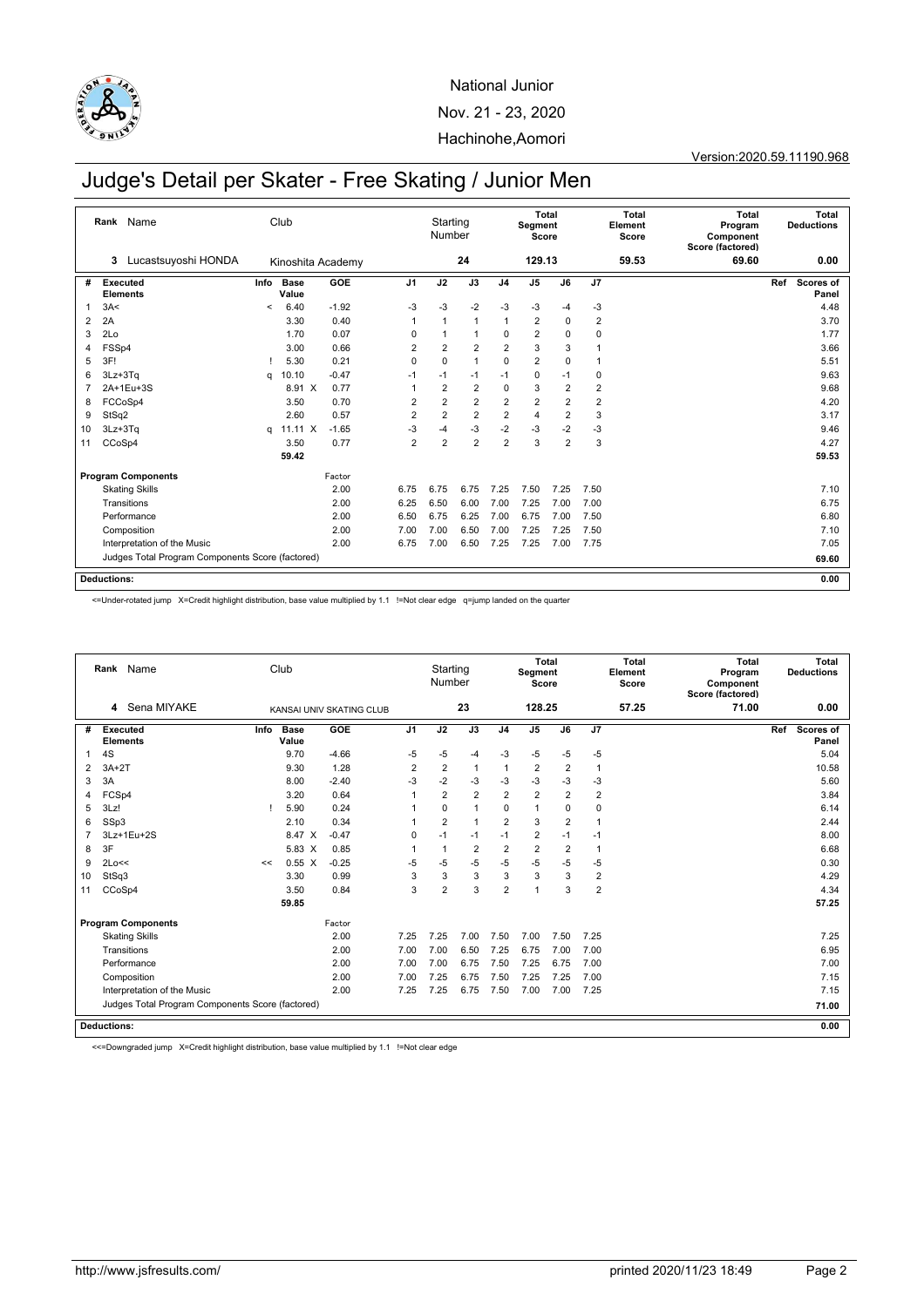

Version:2020.59.11190.968

## Judge's Detail per Skater - Free Skating / Junior Men

|                | Name<br>Rank                                     |         | Club                 |                   |                | Starting<br>Number |                |                | Segment<br>Score | Total          |                | <b>Total</b><br>Element<br>Score | <b>Total</b><br>Program<br>Component<br>Score (factored) | Total<br><b>Deductions</b>       |  |
|----------------|--------------------------------------------------|---------|----------------------|-------------------|----------------|--------------------|----------------|----------------|------------------|----------------|----------------|----------------------------------|----------------------------------------------------------|----------------------------------|--|
|                | Lucastsuyoshi HONDA<br>3                         |         |                      | Kinoshita Academy |                |                    | 24             |                | 129.13           |                |                | 59.53                            | 69.60                                                    | 0.00                             |  |
| #              | Executed<br><b>Elements</b>                      | Info    | <b>Base</b><br>Value | <b>GOE</b>        | J <sub>1</sub> | J2                 | J3             | J <sub>4</sub> | J <sub>5</sub>   | J6             | J7             |                                  |                                                          | <b>Scores of</b><br>Ref<br>Panel |  |
| 1              | 3A<                                              | $\prec$ | 6.40                 | $-1.92$           | $-3$           | $-3$               | $-2$           | $-3$           | $-3$             | $-4$           | $-3$           |                                  |                                                          | 4.48                             |  |
| 2              | 2A                                               |         | 3.30                 | 0.40              | 1              |                    | $\mathbf{1}$   | 1              | $\overline{2}$   | 0              | $\overline{2}$ |                                  |                                                          | 3.70                             |  |
| 3              | 2Lo                                              |         | 1.70                 | 0.07              | 0              |                    | $\mathbf{1}$   | 0              | $\overline{2}$   | 0              | 0              |                                  |                                                          | 1.77                             |  |
| 4              | FSSp4                                            |         | 3.00                 | 0.66              | $\overline{2}$ | $\overline{2}$     | $\overline{2}$ | $\overline{2}$ | 3                | 3              |                |                                  |                                                          | 3.66                             |  |
| 5              | 3F!                                              |         | 5.30                 | 0.21              | 0              | 0                  | $\mathbf{1}$   | 0              | 2                | $\mathbf 0$    |                |                                  |                                                          | 5.51                             |  |
| 6              | 3Lz+3Tq                                          | a       | 10.10                | $-0.47$           | $-1$           | $-1$               | $-1$           | $-1$           | 0                | $-1$           | 0              |                                  |                                                          | 9.63                             |  |
| $\overline{7}$ | 2A+1Eu+3S                                        |         | 8.91 X               | 0.77              | 1              | $\overline{2}$     | $\overline{2}$ | $\mathbf 0$    | 3                | $\overline{2}$ | $\overline{2}$ |                                  |                                                          | 9.68                             |  |
| 8              | FCCoSp4                                          |         | 3.50                 | 0.70              | 2              | $\overline{2}$     | $\overline{2}$ | $\overline{2}$ | $\overline{c}$   | 2              | $\overline{2}$ |                                  |                                                          | 4.20                             |  |
| 9              | StSq2                                            |         | 2.60                 | 0.57              | $\overline{2}$ | $\overline{2}$     | $\overline{2}$ | $\overline{2}$ | $\overline{4}$   | $\overline{2}$ | 3              |                                  |                                                          | 3.17                             |  |
| 10             | $3Lz + 3Tq$                                      | q       | $11.11 \times$       | $-1.65$           | $-3$           | $-4$               | $-3$           | $-2$           | $-3$             | $-2$           | $-3$           |                                  |                                                          | 9.46                             |  |
| 11             | CCoSp4                                           |         | 3.50                 | 0.77              | $\overline{2}$ | $\overline{2}$     | $\overline{2}$ | $\overline{2}$ | 3                | $\overline{2}$ | 3              |                                  |                                                          | 4.27                             |  |
|                |                                                  |         | 59.42                |                   |                |                    |                |                |                  |                |                |                                  |                                                          | 59.53                            |  |
|                | <b>Program Components</b>                        |         |                      | Factor            |                |                    |                |                |                  |                |                |                                  |                                                          |                                  |  |
|                | <b>Skating Skills</b>                            |         |                      | 2.00              | 6.75           | 6.75               | 6.75           | 7.25           | 7.50             | 7.25           | 7.50           |                                  |                                                          | 7.10                             |  |
|                | Transitions                                      |         |                      | 2.00              | 6.25           | 6.50               | 6.00           | 7.00           | 7.25             | 7.00           | 7.00           |                                  |                                                          | 6.75                             |  |
|                | Performance                                      |         |                      | 2.00              | 6.50           | 6.75               | 6.25           | 7.00           | 6.75             | 7.00           | 7.50           |                                  |                                                          | 6.80                             |  |
|                | Composition                                      |         |                      | 2.00              | 7.00           | 7.00               | 6.50           | 7.00           | 7.25             | 7.25           | 7.50           |                                  |                                                          | 7.10                             |  |
|                | Interpretation of the Music                      |         |                      | 2.00              | 6.75           | 7.00               | 6.50           | 7.25           | 7.25             | 7.00           | 7.75           |                                  |                                                          | 7.05                             |  |
|                | Judges Total Program Components Score (factored) |         |                      |                   |                |                    |                |                |                  |                |                |                                  |                                                          | 69.60                            |  |
|                | <b>Deductions:</b>                               |         |                      |                   |                |                    |                |                |                  |                |                |                                  |                                                          | 0.00                             |  |

<=Under-rotated jump X=Credit highlight distribution, base value multiplied by 1.1 !=Not clear edge q=jump landed on the quarter

|    |                    | Rank Name                                        |      | Club                 |                          |                | Starting<br>Number |                |                | Segment<br>Score | Total          |                | <b>Total</b><br>Element<br>Score | <b>Total</b><br>Program<br>Component<br>Score (factored) |     | <b>Total</b><br><b>Deductions</b> |
|----|--------------------|--------------------------------------------------|------|----------------------|--------------------------|----------------|--------------------|----------------|----------------|------------------|----------------|----------------|----------------------------------|----------------------------------------------------------|-----|-----------------------------------|
|    | 4                  | Sena MIYAKE                                      |      |                      | KANSAI UNIV SKATING CLUB |                |                    | 23             |                | 128.25           |                |                | 57.25                            | 71.00                                                    |     | 0.00                              |
| #  | <b>Executed</b>    | <b>Elements</b>                                  | Info | <b>Base</b><br>Value | GOE                      | J <sub>1</sub> | J2                 | J3             | J <sub>4</sub> | J <sub>5</sub>   | J6             | J7             |                                  |                                                          | Ref | <b>Scores of</b><br>Panel         |
| -1 | 4S                 |                                                  |      | 9.70                 | $-4.66$                  | $-5$           | -5                 | $-4$           | -3             | $-5$             | $-5$           | $-5$           |                                  |                                                          |     | 5.04                              |
| 2  | $3A+2T$            |                                                  |      | 9.30                 | 1.28                     | $\overline{2}$ | $\overline{2}$     | $\mathbf{1}$   | $\mathbf{1}$   | $\overline{2}$   | $\overline{2}$ | $\mathbf{1}$   |                                  |                                                          |     | 10.58                             |
| 3  | 3A                 |                                                  |      | 8.00                 | $-2.40$                  | $-3$           | $-2$               | $-3$           | $-3$           | $-3$             | $-3$           | $-3$           |                                  |                                                          |     | 5.60                              |
| 4  | FCSp4              |                                                  |      | 3.20                 | 0.64                     | 1              | $\overline{2}$     | $\overline{2}$ | $\overline{2}$ | 2                | $\overline{2}$ | $\overline{2}$ |                                  |                                                          |     | 3.84                              |
| 5  | 3Lz!               |                                                  |      | 5.90                 | 0.24                     | 1              | $\Omega$           | $\mathbf{1}$   | 0              | 1                | $\mathbf 0$    | $\mathbf 0$    |                                  |                                                          |     | 6.14                              |
| 6  | SSp3               |                                                  |      | 2.10                 | 0.34                     |                | $\overline{2}$     | $\mathbf{1}$   | $\overline{2}$ | 3                | $\overline{2}$ | $\mathbf{1}$   |                                  |                                                          |     | 2.44                              |
|    |                    | 3Lz+1Eu+2S                                       |      | 8.47 X               | $-0.47$                  | 0              | $-1$               | $-1$           | $-1$           | $\overline{c}$   | $-1$           | $-1$           |                                  |                                                          |     | 8.00                              |
| 8  | 3F                 |                                                  |      | 5.83 $X$             | 0.85                     | 1              | 1                  | $\overline{2}$ | $\overline{2}$ | $\overline{2}$   | $\overline{2}$ | $\overline{1}$ |                                  |                                                          |     | 6.68                              |
| 9  | 2Lo<<              |                                                  | <<   | $0.55\ X$            | $-0.25$                  | $-5$           | $-5$               | $-5$           | $-5$           | $-5$             | $-5$           | $-5$           |                                  |                                                          |     | 0.30                              |
| 10 | StSq3              |                                                  |      | 3.30                 | 0.99                     | 3              | 3                  | 3              | 3              | 3                | 3              | $\overline{2}$ |                                  |                                                          |     | 4.29                              |
| 11 | CCoSp4             |                                                  |      | 3.50                 | 0.84                     | 3              | $\overline{2}$     | 3              | $\overline{2}$ | 1                | 3              | $\overline{2}$ |                                  |                                                          |     | 4.34                              |
|    |                    |                                                  |      | 59.85                |                          |                |                    |                |                |                  |                |                |                                  |                                                          |     | 57.25                             |
|    |                    | <b>Program Components</b>                        |      |                      | Factor                   |                |                    |                |                |                  |                |                |                                  |                                                          |     |                                   |
|    |                    | <b>Skating Skills</b>                            |      |                      | 2.00                     | 7.25           | 7.25               | 7.00           | 7.50           | 7.00             | 7.50           | 7.25           |                                  |                                                          |     | 7.25                              |
|    |                    | Transitions                                      |      |                      | 2.00                     | 7.00           | 7.00               | 6.50           | 7.25           | 6.75             | 7.00           | 7.00           |                                  |                                                          |     | 6.95                              |
|    |                    | Performance                                      |      |                      | 2.00                     | 7.00           | 7.00               | 6.75           | 7.50           | 7.25             | 6.75           | 7.00           |                                  |                                                          |     | 7.00                              |
|    |                    | Composition                                      |      |                      | 2.00                     | 7.00           | 7.25               | 6.75           | 7.50           | 7.25             | 7.25           | 7.00           |                                  |                                                          |     | 7.15                              |
|    |                    | Interpretation of the Music                      |      |                      | 2.00                     | 7.25           | 7.25               | 6.75           | 7.50           | 7.00             | 7.00           | 7.25           |                                  |                                                          |     | 7.15                              |
|    |                    | Judges Total Program Components Score (factored) |      |                      |                          |                |                    |                |                |                  |                |                |                                  |                                                          |     | 71.00                             |
|    | <b>Deductions:</b> |                                                  |      |                      |                          |                |                    |                |                |                  |                |                |                                  |                                                          |     | 0.00                              |

<<=Downgraded jump X=Credit highlight distribution, base value multiplied by 1.1 !=Not clear edge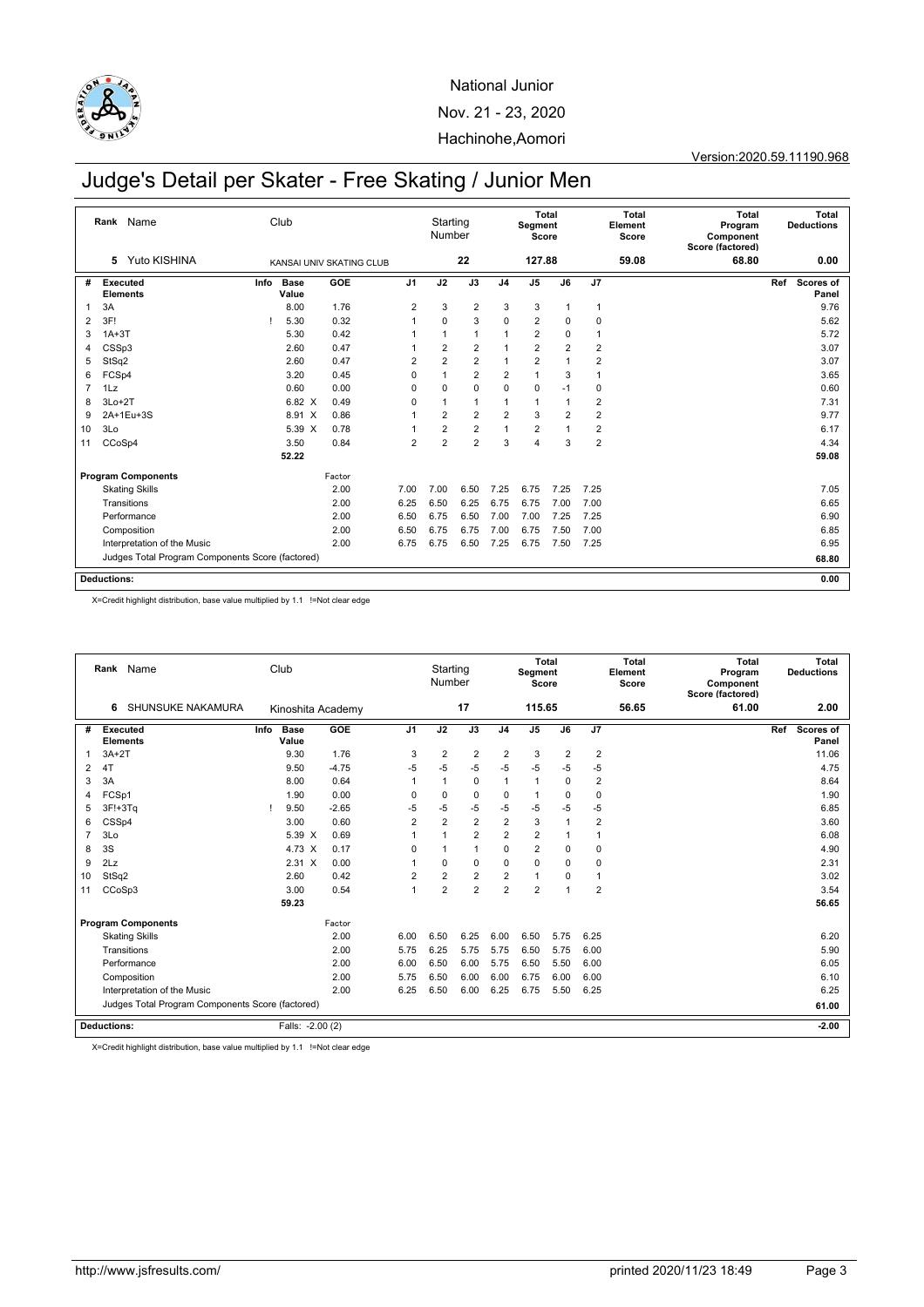

Version:2020.59.11190.968

## Judge's Detail per Skater - Free Skating / Junior Men

|    | Name<br>Rank                                     |      | Club          |                          |                | Starting<br>Number |                |                | Segment<br>Score | Total          |                | <b>Total</b><br>Element<br>Score | <b>Total</b><br>Program<br>Component<br>Score (factored) |     | Total<br><b>Deductions</b> |
|----|--------------------------------------------------|------|---------------|--------------------------|----------------|--------------------|----------------|----------------|------------------|----------------|----------------|----------------------------------|----------------------------------------------------------|-----|----------------------------|
|    | Yuto KISHINA<br>5                                |      |               | KANSAI UNIV SKATING CLUB |                |                    | 22             |                | 127.88           |                |                | 59.08                            | 68.80                                                    |     | 0.00                       |
| #  | Executed<br><b>Elements</b>                      | Info | Base<br>Value | <b>GOE</b>               | J <sub>1</sub> | J2                 | J3             | J <sub>4</sub> | J <sub>5</sub>   | J6             | J7             |                                  |                                                          | Ref | Scores of<br>Panel         |
| 1  | 3A                                               |      | 8.00          | 1.76                     | $\overline{2}$ | 3                  | $\overline{2}$ | 3              | 3                | $\overline{1}$ | $\mathbf{1}$   |                                  |                                                          |     | 9.76                       |
| 2  | 3F!                                              |      | 5.30          | 0.32                     |                | 0                  | 3              | 0              | $\overline{2}$   | 0              | 0              |                                  |                                                          |     | 5.62                       |
| 3  | $1A+3T$                                          |      | 5.30          | 0.42                     |                | 1                  | $\mathbf{1}$   | 1              | $\overline{2}$   | 0              | $\overline{1}$ |                                  |                                                          |     | 5.72                       |
| 4  | CSSp3                                            |      | 2.60          | 0.47                     |                | $\overline{2}$     | $\overline{2}$ | 1              | $\overline{2}$   | $\overline{2}$ | $\overline{2}$ |                                  |                                                          |     | 3.07                       |
| 5  | StSq2                                            |      | 2.60          | 0.47                     | 2              | $\overline{2}$     | $\overline{2}$ | $\mathbf{1}$   | $\overline{c}$   |                | $\overline{2}$ |                                  |                                                          |     | 3.07                       |
| 6  | FCSp4                                            |      | 3.20          | 0.45                     | 0              | 1                  | $\overline{2}$ | $\overline{2}$ | 1                | 3              | $\overline{1}$ |                                  |                                                          |     | 3.65                       |
| 7  | 1Lz                                              |      | 0.60          | 0.00                     | $\Omega$       | 0                  | $\mathbf 0$    | 0              | $\mathbf 0$      | $-1$           | 0              |                                  |                                                          |     | 0.60                       |
| 8  | $3Lo+2T$                                         |      | 6.82 X        | 0.49                     | 0              |                    | $\mathbf{1}$   | 1              | 1                |                | $\overline{2}$ |                                  |                                                          |     | 7.31                       |
| 9  | 2A+1Eu+3S                                        |      | 8.91 X        | 0.86                     | 1              | $\overline{2}$     | $\overline{2}$ | $\overline{2}$ | 3                | $\overline{2}$ | $\overline{2}$ |                                  |                                                          |     | 9.77                       |
| 10 | 3Lo                                              |      | 5.39 X        | 0.78                     |                | $\overline{2}$     | $\overline{2}$ | 1              | $\overline{2}$   |                | $\overline{2}$ |                                  |                                                          |     | 6.17                       |
| 11 | CCoSp4                                           |      | 3.50          | 0.84                     | $\overline{2}$ | $\overline{2}$     | $\overline{2}$ | 3              | 4                | 3              | $\overline{2}$ |                                  |                                                          |     | 4.34                       |
|    |                                                  |      | 52.22         |                          |                |                    |                |                |                  |                |                |                                  |                                                          |     | 59.08                      |
|    | <b>Program Components</b>                        |      |               | Factor                   |                |                    |                |                |                  |                |                |                                  |                                                          |     |                            |
|    | <b>Skating Skills</b>                            |      |               | 2.00                     | 7.00           | 7.00               | 6.50           | 7.25           | 6.75             | 7.25           | 7.25           |                                  |                                                          |     | 7.05                       |
|    | Transitions                                      |      |               | 2.00                     | 6.25           | 6.50               | 6.25           | 6.75           | 6.75             | 7.00           | 7.00           |                                  |                                                          |     | 6.65                       |
|    | Performance                                      |      |               | 2.00                     | 6.50           | 6.75               | 6.50           | 7.00           | 7.00             | 7.25           | 7.25           |                                  |                                                          |     | 6.90                       |
|    | Composition                                      |      |               | 2.00                     | 6.50           | 6.75               | 6.75           | 7.00           | 6.75             | 7.50           | 7.00           |                                  |                                                          |     | 6.85                       |
|    | Interpretation of the Music                      |      |               | 2.00                     | 6.75           | 6.75               | 6.50           | 7.25           | 6.75             | 7.50           | 7.25           |                                  |                                                          |     | 6.95                       |
|    | Judges Total Program Components Score (factored) |      |               |                          |                |                    |                |                |                  |                |                |                                  |                                                          |     | 68.80                      |
|    | <b>Deductions:</b>                               |      |               |                          |                |                    |                |                |                  |                |                |                                  |                                                          |     | 0.00                       |

X=Credit highlight distribution, base value multiplied by 1.1 !=Not clear edge

|                |                             | Rank Name                                        |      | Club                 |         |                | Starting<br>Number |                |                | Segment<br>Score | Total          |                | <b>Total</b><br>Element<br>Score | <b>Total</b><br>Program<br>Component<br>Score (factored) |     | <b>Total</b><br><b>Deductions</b> |
|----------------|-----------------------------|--------------------------------------------------|------|----------------------|---------|----------------|--------------------|----------------|----------------|------------------|----------------|----------------|----------------------------------|----------------------------------------------------------|-----|-----------------------------------|
|                | 6                           | SHUNSUKE NAKAMURA                                |      | Kinoshita Academy    |         |                |                    | 17             |                | 115.65           |                |                | 56.65                            | 61.00                                                    |     | 2.00                              |
| #              | Executed<br><b>Elements</b> |                                                  | Info | <b>Base</b><br>Value | GOE     | J <sub>1</sub> | J2                 | J3             | J <sub>4</sub> | J <sub>5</sub>   | J6             | J7             |                                  |                                                          | Ref | Scores of<br>Panel                |
| 1              | $3A+2T$                     |                                                  |      | 9.30                 | 1.76    | 3              | $\overline{2}$     | $\overline{2}$ | $\overline{2}$ | 3                | $\overline{2}$ | $\overline{2}$ |                                  |                                                          |     | 11.06                             |
| 2              | 4T                          |                                                  |      | 9.50                 | $-4.75$ | $-5$           | -5                 | $-5$           | $-5$           | $-5$             | $-5$           | $-5$           |                                  |                                                          |     | 4.75                              |
| 3              | 3A                          |                                                  |      | 8.00                 | 0.64    | $\mathbf{1}$   | 1                  | $\mathbf 0$    | 1              | $\mathbf{1}$     | $\Omega$       | $\overline{2}$ |                                  |                                                          |     | 8.64                              |
| 4              | FCSp1                       |                                                  |      | 1.90                 | 0.00    | $\Omega$       | $\mathbf 0$        | $\mathbf 0$    | 0              | $\mathbf{1}$     | $\mathbf 0$    | $\mathbf 0$    |                                  |                                                          |     | 1.90                              |
| 5              | $3F!+3Tq$                   |                                                  |      | 9.50                 | $-2.65$ | $-5$           | $-5$               | $-5$           | $-5$           | $-5$             | $-5$           | $-5$           |                                  |                                                          |     | 6.85                              |
| 6              | CSSp4                       |                                                  |      | 3.00                 | 0.60    | $\overline{2}$ | $\overline{2}$     | $\overline{2}$ | $\overline{2}$ | 3                | 1              | $\overline{2}$ |                                  |                                                          |     | 3.60                              |
| $\overline{7}$ | 3Lo                         |                                                  |      | 5.39 X               | 0.69    | 1              | $\overline{1}$     | $\overline{2}$ | $\overline{2}$ | $\overline{c}$   |                | $\overline{1}$ |                                  |                                                          |     | 6.08                              |
| 8              | 3S                          |                                                  |      | 4.73 X               | 0.17    | $\Omega$       | $\overline{1}$     | $\mathbf{1}$   | $\Omega$       | $\overline{2}$   | $\mathbf 0$    | $\mathbf 0$    |                                  |                                                          |     | 4.90                              |
| 9              | 2Lz                         |                                                  |      | $2.31 \times$        | 0.00    | 1              | $\Omega$           | $\mathbf 0$    | 0              | $\mathbf 0$      | $\mathbf 0$    | 0              |                                  |                                                          |     | 2.31                              |
| 10             | StSq2                       |                                                  |      | 2.60                 | 0.42    | $\overline{2}$ | $\overline{2}$     | $\overline{2}$ | $\overline{2}$ | 1                | 0              | $\mathbf{1}$   |                                  |                                                          |     | 3.02                              |
| 11             | CCoSp3                      |                                                  |      | 3.00                 | 0.54    | $\mathbf{1}$   | $\overline{2}$     | $\overline{2}$ | $\overline{2}$ | $\overline{2}$   | 1              | $\overline{2}$ |                                  |                                                          |     | 3.54                              |
|                |                             |                                                  |      | 59.23                |         |                |                    |                |                |                  |                |                |                                  |                                                          |     | 56.65                             |
|                |                             | <b>Program Components</b>                        |      |                      | Factor  |                |                    |                |                |                  |                |                |                                  |                                                          |     |                                   |
|                |                             | <b>Skating Skills</b>                            |      |                      | 2.00    | 6.00           | 6.50               | 6.25           | 6.00           | 6.50             | 5.75           | 6.25           |                                  |                                                          |     | 6.20                              |
|                |                             | Transitions                                      |      |                      | 2.00    | 5.75           | 6.25               | 5.75           | 5.75           | 6.50             | 5.75           | 6.00           |                                  |                                                          |     | 5.90                              |
|                |                             | Performance                                      |      |                      | 2.00    | 6.00           | 6.50               | 6.00           | 5.75           | 6.50             | 5.50           | 6.00           |                                  |                                                          |     | 6.05                              |
|                |                             | Composition                                      |      |                      | 2.00    | 5.75           | 6.50               | 6.00           | 6.00           | 6.75             | 6.00           | 6.00           |                                  |                                                          |     | 6.10                              |
|                |                             | Interpretation of the Music                      |      |                      | 2.00    | 6.25           | 6.50               | 6.00           | 6.25           | 6.75             | 5.50           | 6.25           |                                  |                                                          |     | 6.25                              |
|                |                             | Judges Total Program Components Score (factored) |      |                      |         |                |                    |                |                |                  |                |                |                                  |                                                          |     | 61.00                             |
|                | <b>Deductions:</b>          |                                                  |      | Falls: -2.00 (2)     |         |                |                    |                |                |                  |                |                |                                  |                                                          |     | $-2.00$                           |

X=Credit highlight distribution, base value multiplied by 1.1 !=Not clear edge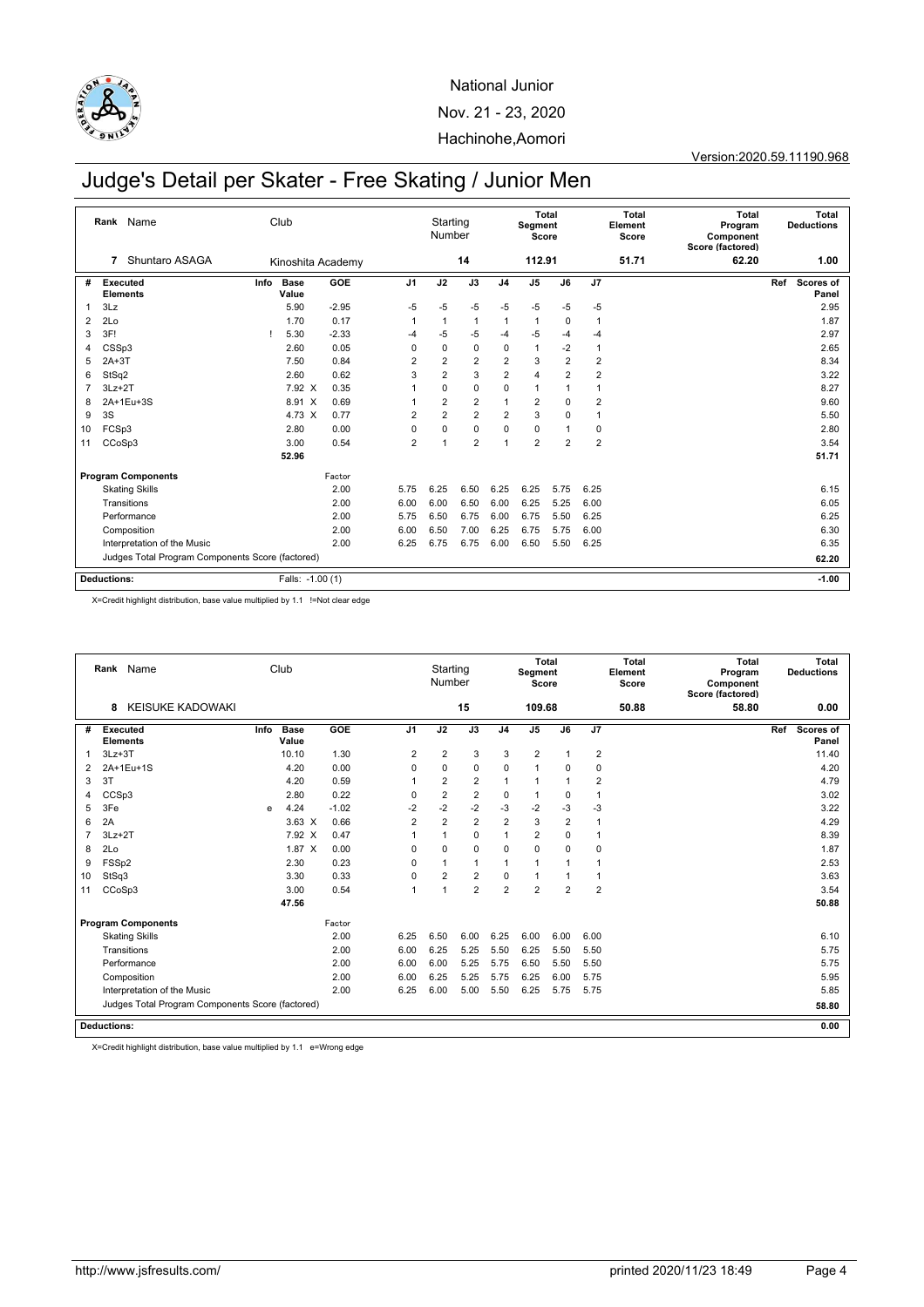

Version:2020.59.11190.968

## Judge's Detail per Skater - Free Skating / Junior Men

|    | Name<br>Rank                                     | Club                 |         |                | Starting<br>Number |                |                | Total<br>Segment<br>Score |                |                | <b>Total</b><br>Element<br>Score | <b>Total</b><br>Program<br>Component<br>Score (factored) |     | Total<br><b>Deductions</b> |
|----|--------------------------------------------------|----------------------|---------|----------------|--------------------|----------------|----------------|---------------------------|----------------|----------------|----------------------------------|----------------------------------------------------------|-----|----------------------------|
|    | Shuntaro ASAGA<br>7                              | Kinoshita Academy    |         |                |                    | 14             |                | 112.91                    |                |                | 51.71                            | 62.20                                                    |     | 1.00                       |
| #  | Executed<br>Info<br><b>Elements</b>              | <b>Base</b><br>Value | GOE     | J <sub>1</sub> | J2                 | J3             | J <sub>4</sub> | J <sub>5</sub>            | J6             | J7             |                                  |                                                          | Ref | Scores of<br>Panel         |
| 1  | 3Lz                                              | 5.90                 | $-2.95$ | -5             | $-5$               | $-5$           | $-5$           | $-5$                      | $-5$           | $-5$           |                                  |                                                          |     | 2.95                       |
| 2  | 2Lo                                              | 1.70                 | 0.17    | $\mathbf{1}$   | $\mathbf{1}$       | $\mathbf{1}$   | 1              | $\mathbf{1}$              | 0              | $\overline{1}$ |                                  |                                                          |     | 1.87                       |
| 3  | 3F!                                              | 5.30                 | $-2.33$ | $-4$           | $-5$               | $-5$           | -4             | $-5$                      | $-4$           | -4             |                                  |                                                          |     | 2.97                       |
| 4  | CSSp3                                            | 2.60                 | 0.05    | $\Omega$       | 0                  | 0              | 0              | 1                         | $-2$           | $\overline{1}$ |                                  |                                                          |     | 2.65                       |
| 5  | $2A+3T$                                          | 7.50                 | 0.84    | $\overline{2}$ | $\overline{2}$     | $\overline{2}$ | $\overline{2}$ | 3                         | $\overline{2}$ | $\overline{2}$ |                                  |                                                          |     | 8.34                       |
| 6  | StSq2                                            | 2.60                 | 0.62    | 3              | $\overline{2}$     | 3              | $\overline{2}$ | 4                         | $\overline{2}$ | $\overline{2}$ |                                  |                                                          |     | 3.22                       |
| 7  | $3Lz + 2T$                                       | 7.92 X               | 0.35    | 1              | $\Omega$           | $\mathbf 0$    | 0              | $\mathbf{1}$              | 1              | 1              |                                  |                                                          |     | 8.27                       |
| 8  | 2A+1Eu+3S                                        | 8.91 X               | 0.69    | 1              | $\overline{2}$     | $\overline{2}$ | 1              | $\overline{2}$            | 0              | $\overline{2}$ |                                  |                                                          |     | 9.60                       |
| 9  | 3S                                               | 4.73 X               | 0.77    | $\overline{2}$ | $\overline{2}$     | $\overline{2}$ | $\overline{2}$ | 3                         | $\mathbf 0$    | $\overline{1}$ |                                  |                                                          |     | 5.50                       |
| 10 | FCSp3                                            | 2.80                 | 0.00    | 0              | $\mathbf 0$        | $\mathbf 0$    | 0              | 0                         |                | 0              |                                  |                                                          |     | 2.80                       |
| 11 | CCoSp3                                           | 3.00                 | 0.54    | $\overline{2}$ | 1                  | $\overline{2}$ | 1              | $\overline{2}$            | $\overline{2}$ | $\overline{2}$ |                                  |                                                          |     | 3.54                       |
|    |                                                  | 52.96                |         |                |                    |                |                |                           |                |                |                                  |                                                          |     | 51.71                      |
|    | <b>Program Components</b>                        |                      | Factor  |                |                    |                |                |                           |                |                |                                  |                                                          |     |                            |
|    | <b>Skating Skills</b>                            |                      | 2.00    | 5.75           | 6.25               | 6.50           | 6.25           | 6.25                      | 5.75           | 6.25           |                                  |                                                          |     | 6.15                       |
|    | Transitions                                      |                      | 2.00    | 6.00           | 6.00               | 6.50           | 6.00           | 6.25                      | 5.25           | 6.00           |                                  |                                                          |     | 6.05                       |
|    | Performance                                      |                      | 2.00    | 5.75           | 6.50               | 6.75           | 6.00           | 6.75                      | 5.50           | 6.25           |                                  |                                                          |     | 6.25                       |
|    | Composition                                      |                      | 2.00    | 6.00           | 6.50               | 7.00           | 6.25           | 6.75                      | 5.75           | 6.00           |                                  |                                                          |     | 6.30                       |
|    | Interpretation of the Music                      |                      | 2.00    | 6.25           | 6.75               | 6.75           | 6.00           | 6.50                      | 5.50           | 6.25           |                                  |                                                          |     | 6.35                       |
|    | Judges Total Program Components Score (factored) |                      |         |                |                    |                |                |                           |                |                |                                  |                                                          |     | 62.20                      |
|    | <b>Deductions:</b>                               | Falls: -1.00 (1)     |         |                |                    |                |                |                           |                |                |                                  |                                                          |     | $-1.00$                    |

X=Credit highlight distribution, base value multiplied by 1.1 !=Not clear edge

|                | Rank                        | Name                                             |              | Club                 |         |                      | Starting<br>Number |                |                | Segment<br>Score | Total          |                | Total<br>Element<br>Score | Total<br>Program<br>Component<br>Score (factored) | Total<br><b>Deductions</b> |
|----------------|-----------------------------|--------------------------------------------------|--------------|----------------------|---------|----------------------|--------------------|----------------|----------------|------------------|----------------|----------------|---------------------------|---------------------------------------------------|----------------------------|
|                | 8                           | <b>KEISUKE KADOWAKI</b>                          |              |                      |         |                      |                    | 15             |                | 109.68           |                |                | 50.88                     | 58.80                                             | 0.00                       |
| #              | Executed<br><b>Elements</b> |                                                  | Info         | <b>Base</b><br>Value | GOE     | J <sub>1</sub>       | J2                 | J3             | J <sub>4</sub> | J <sub>5</sub>   | J6             | J7             |                           |                                                   | Ref<br>Scores of<br>Panel  |
| 1              | $3Lz + 3T$                  |                                                  |              | 10.10                | 1.30    | $\overline{2}$       | $\overline{2}$     | 3              | 3              | $\overline{2}$   |                | $\overline{2}$ |                           |                                                   | 11.40                      |
| 2              | 2A+1Eu+1S                   |                                                  |              | 4.20                 | 0.00    | 0                    | $\mathbf 0$        | $\mathbf 0$    | 0              | 1                | 0              | $\mathbf 0$    |                           |                                                   | 4.20                       |
| 3              | 3T                          |                                                  |              | 4.20                 | 0.59    | $\overline{1}$       | $\overline{2}$     | $\overline{2}$ | 1              | 1                |                | $\overline{2}$ |                           |                                                   | 4.79                       |
| 4              | CCSp3                       |                                                  |              | 2.80                 | 0.22    | $\Omega$             | $\overline{2}$     | $\overline{2}$ | 0              | $\mathbf{1}$     | 0              | $\overline{1}$ |                           |                                                   | 3.02                       |
| 5              | 3Fe                         |                                                  | $\mathbf{e}$ | 4.24                 | $-1.02$ | $-2$                 | $-2$               | $-2$           | $-3$           | $-2$             | $-3$           | $-3$           |                           |                                                   | 3.22                       |
| 6              | 2A                          |                                                  |              | $3.63 \times$        | 0.66    | $\overline{2}$       | $\overline{2}$     | $\overline{2}$ | $\overline{2}$ | 3                | $\overline{2}$ |                |                           |                                                   | 4.29                       |
| $\overline{7}$ | $3Lz + 2T$                  |                                                  |              | 7.92 X               | 0.47    | 1                    | 1                  | $\mathbf 0$    | 1              | $\overline{2}$   | 0              | $\overline{1}$ |                           |                                                   | 8.39                       |
| 8              | 2Lo                         |                                                  |              | 1.87 X               | 0.00    | $\Omega$             | $\Omega$           | $\mathbf 0$    | 0              | $\mathbf 0$      | $\mathbf 0$    | $\mathbf 0$    |                           |                                                   | 1.87                       |
| 9              | FSSp2                       |                                                  |              | 2.30                 | 0.23    | $\Omega$             | $\overline{1}$     | $\mathbf{1}$   | 1              | 1                | 1              | 1              |                           |                                                   | 2.53                       |
| 10             | StSq3                       |                                                  |              | 3.30                 | 0.33    | $\mathbf 0$          | $\overline{2}$     | $\overline{2}$ | 0              | $\mathbf{1}$     |                | $\overline{1}$ |                           |                                                   | 3.63                       |
| 11             | CCoSp3                      |                                                  |              | 3.00                 | 0.54    | $\blacktriangleleft$ | $\overline{1}$     | $\overline{2}$ | $\overline{2}$ | $\overline{2}$   | $\overline{2}$ | $\overline{2}$ |                           |                                                   | 3.54                       |
|                |                             |                                                  |              | 47.56                |         |                      |                    |                |                |                  |                |                |                           |                                                   | 50.88                      |
|                |                             | <b>Program Components</b>                        |              |                      | Factor  |                      |                    |                |                |                  |                |                |                           |                                                   |                            |
|                | <b>Skating Skills</b>       |                                                  |              |                      | 2.00    | 6.25                 | 6.50               | 6.00           | 6.25           | 6.00             | 6.00           | 6.00           |                           |                                                   | 6.10                       |
|                | Transitions                 |                                                  |              |                      | 2.00    | 6.00                 | 6.25               | 5.25           | 5.50           | 6.25             | 5.50           | 5.50           |                           |                                                   | 5.75                       |
|                | Performance                 |                                                  |              |                      | 2.00    | 6.00                 | 6.00               | 5.25           | 5.75           | 6.50             | 5.50           | 5.50           |                           |                                                   | 5.75                       |
|                | Composition                 |                                                  |              |                      | 2.00    | 6.00                 | 6.25               | 5.25           | 5.75           | 6.25             | 6.00           | 5.75           |                           |                                                   | 5.95                       |
|                |                             | Interpretation of the Music                      |              |                      | 2.00    | 6.25                 | 6.00               | 5.00           | 5.50           | 6.25             | 5.75           | 5.75           |                           |                                                   | 5.85                       |
|                |                             | Judges Total Program Components Score (factored) |              |                      |         |                      |                    |                |                |                  |                |                |                           |                                                   | 58.80                      |
|                | <b>Deductions:</b>          |                                                  |              |                      |         |                      |                    |                |                |                  |                |                |                           |                                                   | 0.00                       |

X=Credit highlight distribution, base value multiplied by 1.1 e=Wrong edge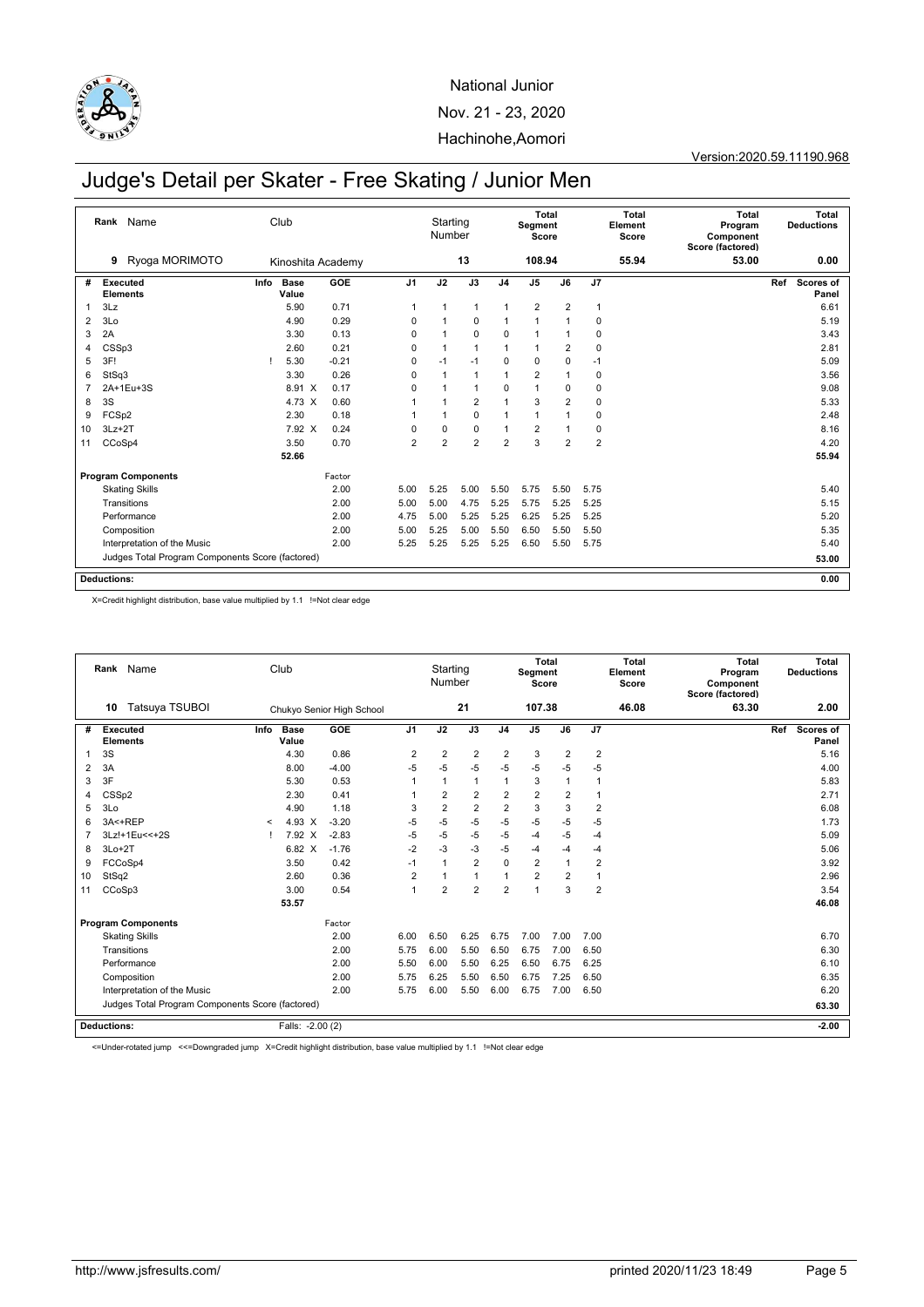

Version:2020.59.11190.968

## Judge's Detail per Skater - Free Skating / Junior Men

|    | Name<br>Rank                                     |      | Club                 |         |                 | Starting<br>Number |                |                | Segment<br>Score | Total          |                | <b>Total</b><br>Element<br>Score | <b>Total</b><br>Program<br>Component<br>Score (factored) |     | Total<br><b>Deductions</b> |
|----|--------------------------------------------------|------|----------------------|---------|-----------------|--------------------|----------------|----------------|------------------|----------------|----------------|----------------------------------|----------------------------------------------------------|-----|----------------------------|
|    | Ryoga MORIMOTO<br>9                              |      | Kinoshita Academy    |         |                 |                    | 13             |                | 108.94           |                |                | 55.94                            | 53.00                                                    |     | 0.00                       |
| #  | <b>Executed</b><br><b>Elements</b>               | Info | <b>Base</b><br>Value | GOE     | $\overline{J1}$ | J2                 | J3             | J <sub>4</sub> | J <sub>5</sub>   | J6             | J7             |                                  |                                                          | Ref | Scores of<br>Panel         |
| 1  | 3Lz                                              |      | 5.90                 | 0.71    | 1               | 1                  | $\mathbf{1}$   | $\overline{1}$ | $\overline{2}$   | $\overline{2}$ | $\overline{1}$ |                                  |                                                          |     | 6.61                       |
| 2  | 3Lo                                              |      | 4.90                 | 0.29    | 0               |                    | 0              | 1              | 1                |                | $\mathbf 0$    |                                  |                                                          |     | 5.19                       |
| 3  | 2A                                               |      | 3.30                 | 0.13    | 0               | 1                  | 0              | 0              | $\mathbf{1}$     |                | 0              |                                  |                                                          |     | 3.43                       |
| 4  | CSSp3                                            |      | 2.60                 | 0.21    | $\Omega$        | 1                  | $\mathbf{1}$   | $\overline{1}$ | 1                | $\overline{2}$ | $\mathbf 0$    |                                  |                                                          |     | 2.81                       |
| 5  | 3F!                                              |      | 5.30                 | $-0.21$ | $\mathbf 0$     | $-1$               | $-1$           | 0              | $\mathbf 0$      | 0              | $-1$           |                                  |                                                          |     | 5.09                       |
| 6  | StSq3                                            |      | 3.30                 | 0.26    | $\Omega$        |                    | $\mathbf{1}$   | $\overline{1}$ | 2                |                | $\mathbf 0$    |                                  |                                                          |     | 3.56                       |
| 7  | 2A+1Eu+3S                                        |      | 8.91 X               | 0.17    | $\Omega$        |                    | $\mathbf{1}$   | 0              | 1                | 0              | 0              |                                  |                                                          |     | 9.08                       |
| 8  | 3S                                               |      | 4.73 X               | 0.60    |                 |                    | $\overline{2}$ | $\mathbf{1}$   | 3                | $\overline{2}$ | $\mathbf 0$    |                                  |                                                          |     | 5.33                       |
| 9  | FCSp2                                            |      | 2.30                 | 0.18    |                 |                    | $\pmb{0}$      | 1              | 1                |                | 0              |                                  |                                                          |     | 2.48                       |
| 10 | $3Lz + 2T$                                       |      | 7.92 X               | 0.24    | 0               | 0                  | $\mathbf 0$    | 1              | 2                |                | $\mathbf 0$    |                                  |                                                          |     | 8.16                       |
| 11 | CCoSp4                                           |      | 3.50                 | 0.70    | $\overline{2}$  | $\overline{2}$     | $\overline{2}$ | $\overline{2}$ | 3                | $\overline{2}$ | $\overline{2}$ |                                  |                                                          |     | 4.20                       |
|    |                                                  |      | 52.66                |         |                 |                    |                |                |                  |                |                |                                  |                                                          |     | 55.94                      |
|    | <b>Program Components</b>                        |      |                      | Factor  |                 |                    |                |                |                  |                |                |                                  |                                                          |     |                            |
|    | <b>Skating Skills</b>                            |      |                      | 2.00    | 5.00            | 5.25               | 5.00           | 5.50           | 5.75             | 5.50           | 5.75           |                                  |                                                          |     | 5.40                       |
|    | Transitions                                      |      |                      | 2.00    | 5.00            | 5.00               | 4.75           | 5.25           | 5.75             | 5.25           | 5.25           |                                  |                                                          |     | 5.15                       |
|    | Performance                                      |      |                      | 2.00    | 4.75            | 5.00               | 5.25           | 5.25           | 6.25             | 5.25           | 5.25           |                                  |                                                          |     | 5.20                       |
|    | Composition                                      |      |                      | 2.00    | 5.00            | 5.25               | 5.00           | 5.50           | 6.50             | 5.50           | 5.50           |                                  |                                                          |     | 5.35                       |
|    | Interpretation of the Music                      |      |                      | 2.00    | 5.25            | 5.25               | 5.25           | 5.25           | 6.50             | 5.50           | 5.75           |                                  |                                                          |     | 5.40                       |
|    | Judges Total Program Components Score (factored) |      |                      |         |                 |                    |                |                |                  |                |                |                                  |                                                          |     | 53.00                      |
|    | <b>Deductions:</b>                               |      |                      |         |                 |                    |                |                |                  |                |                |                                  |                                                          |     | 0.00                       |

X=Credit highlight distribution, base value multiplied by 1.1 !=Not clear edge

|                | Rank                        | Name                                             |         | Club                 |                           |                | Starting<br>Number |                |                | Segment<br>Score | Total          |                | Total<br>Element<br>Score | Total<br>Program<br>Component<br>Score (factored) |     | Total<br><b>Deductions</b> |
|----------------|-----------------------------|--------------------------------------------------|---------|----------------------|---------------------------|----------------|--------------------|----------------|----------------|------------------|----------------|----------------|---------------------------|---------------------------------------------------|-----|----------------------------|
|                | 10                          | Tatsuya TSUBOI                                   |         |                      | Chukyo Senior High School |                |                    | 21             |                | 107.38           |                |                | 46.08                     | 63.30                                             |     | 2.00                       |
| #              | Executed<br><b>Elements</b> |                                                  | Info    | <b>Base</b><br>Value | GOE                       | J <sub>1</sub> | J2                 | J3             | J <sub>4</sub> | J <sub>5</sub>   | J6             | J <sub>7</sub> |                           |                                                   | Ref | Scores of<br>Panel         |
| 1              | 3S                          |                                                  |         | 4.30                 | 0.86                      | $\overline{2}$ | $\overline{2}$     | $\overline{2}$ | $\overline{2}$ | 3                | $\overline{2}$ | $\overline{2}$ |                           |                                                   |     | 5.16                       |
| $\overline{2}$ | 3A                          |                                                  |         | 8.00                 | $-4.00$                   | $-5$           | $-5$               | $-5$           | $-5$           | $-5$             | $-5$           | $-5$           |                           |                                                   |     | 4.00                       |
| 3              | 3F                          |                                                  |         | 5.30                 | 0.53                      |                | 1                  | $\mathbf{1}$   | 1              | 3                | $\overline{1}$ |                |                           |                                                   |     | 5.83                       |
| 4              | CSS <sub>p2</sub>           |                                                  |         | 2.30                 | 0.41                      |                | $\overline{2}$     | $\overline{2}$ | 2              | $\overline{2}$   | 2              | $\mathbf{1}$   |                           |                                                   |     | 2.71                       |
| 5              | 3 <sub>LO</sub>             |                                                  |         | 4.90                 | 1.18                      | 3              | $\overline{2}$     | $\overline{2}$ | $\overline{2}$ | 3                | 3              | $\overline{2}$ |                           |                                                   |     | 6.08                       |
| 6              | 3A<+REP                     |                                                  | $\prec$ | 4.93 X               | $-3.20$                   | $-5$           | $-5$               | $-5$           | $-5$           | $-5$             | $-5$           | $-5$           |                           |                                                   |     | 1.73                       |
| $\overline{7}$ |                             | 3Lz!+1Eu<<+2S                                    |         | 7.92 X               | $-2.83$                   | $-5$           | $-5$               | $-5$           | $-5$           | $-4$             | $-5$           | $-4$           |                           |                                                   |     | 5.09                       |
| 8              | $3Lo+2T$                    |                                                  |         | 6.82 X               | $-1.76$                   | $-2$           | $-3$               | $-3$           | $-5$           | $-4$             | $-4$           | $-4$           |                           |                                                   |     | 5.06                       |
| 9              | FCCoSp4                     |                                                  |         | 3.50                 | 0.42                      | $-1$           | 1                  | $\overline{2}$ | $\mathbf 0$    | $\overline{2}$   | $\overline{1}$ | $\overline{2}$ |                           |                                                   |     | 3.92                       |
| 10             | StSq2                       |                                                  |         | 2.60                 | 0.36                      | $\overline{2}$ |                    | $\mathbf{1}$   | 1              | $\overline{2}$   | $\overline{2}$ | 1              |                           |                                                   |     | 2.96                       |
| 11             | CCoSp3                      |                                                  |         | 3.00                 | 0.54                      | $\overline{1}$ | $\overline{2}$     | $\overline{2}$ | $\overline{2}$ | 1                | 3              | 2              |                           |                                                   |     | 3.54                       |
|                |                             |                                                  |         | 53.57                |                           |                |                    |                |                |                  |                |                |                           |                                                   |     | 46.08                      |
|                |                             | <b>Program Components</b>                        |         |                      | Factor                    |                |                    |                |                |                  |                |                |                           |                                                   |     |                            |
|                |                             | <b>Skating Skills</b>                            |         |                      | 2.00                      | 6.00           | 6.50               | 6.25           | 6.75           | 7.00             | 7.00           | 7.00           |                           |                                                   |     | 6.70                       |
|                |                             | Transitions                                      |         |                      | 2.00                      | 5.75           | 6.00               | 5.50           | 6.50           | 6.75             | 7.00           | 6.50           |                           |                                                   |     | 6.30                       |
|                |                             | Performance                                      |         |                      | 2.00                      | 5.50           | 6.00               | 5.50           | 6.25           | 6.50             | 6.75           | 6.25           |                           |                                                   |     | 6.10                       |
|                |                             | Composition                                      |         |                      | 2.00                      | 5.75           | 6.25               | 5.50           | 6.50           | 6.75             | 7.25           | 6.50           |                           |                                                   |     | 6.35                       |
|                |                             | Interpretation of the Music                      |         |                      | 2.00                      | 5.75           | 6.00               | 5.50           | 6.00           | 6.75             | 7.00           | 6.50           |                           |                                                   |     | 6.20                       |
|                |                             | Judges Total Program Components Score (factored) |         |                      |                           |                |                    |                |                |                  |                |                |                           |                                                   |     | 63.30                      |
|                | <b>Deductions:</b>          |                                                  |         | Falls: -2.00 (2)     |                           |                |                    |                |                |                  |                |                |                           |                                                   |     | $-2.00$                    |

<=Under-rotated jump <<=Downgraded jump X=Credit highlight distribution, base value multiplied by 1.1 !=Not clear edge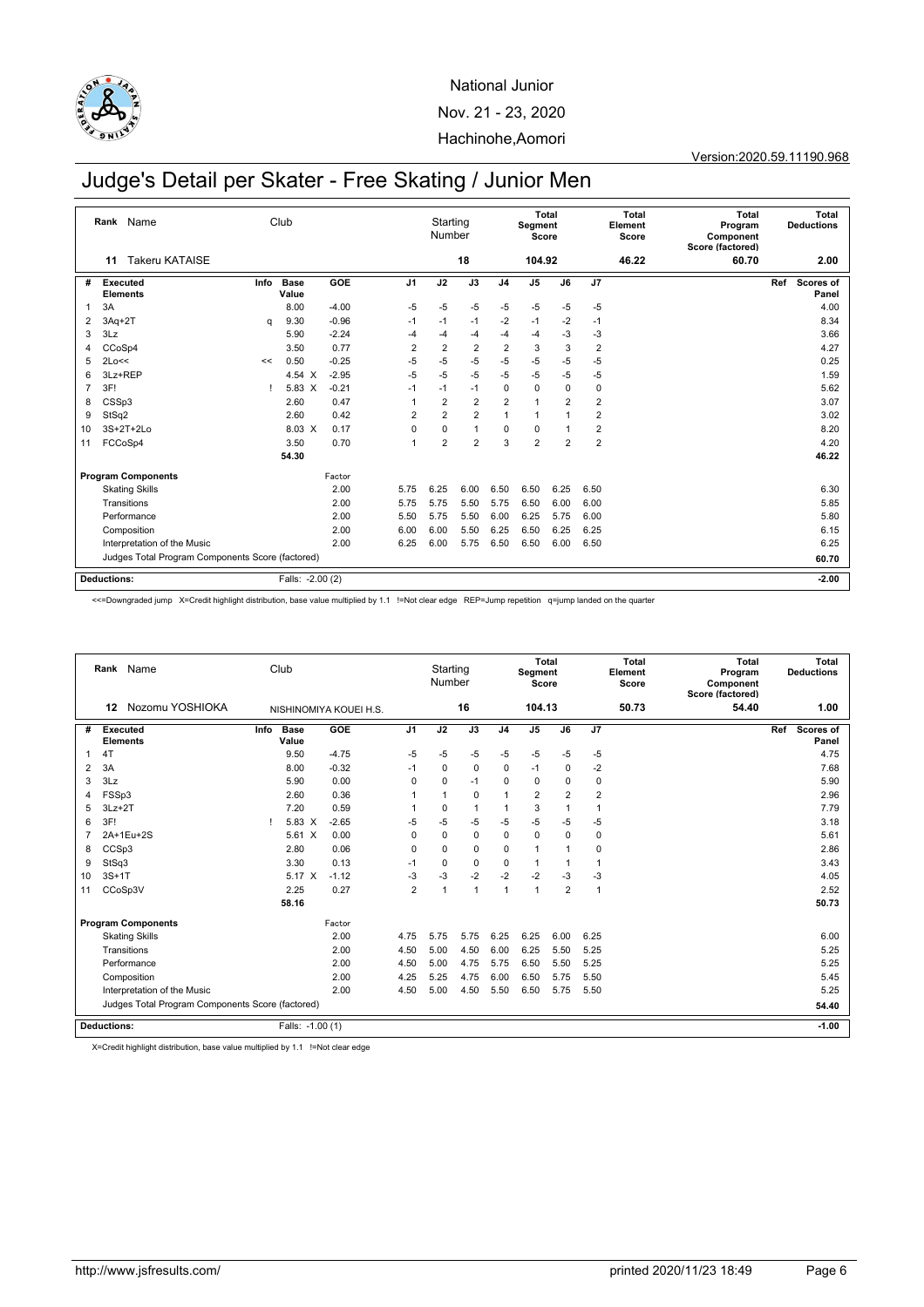

#### Version:2020.59.11190.968

## Judge's Detail per Skater - Free Skating / Junior Men

|    | Rank<br>Name                                     |      | Club             |         |                | Starting<br>Number |                |                | Segment<br>Score | Total          |                | <b>Total</b><br>Element<br>Score | <b>Total</b><br>Program<br>Component<br>Score (factored) |     | <b>Total</b><br><b>Deductions</b> |
|----|--------------------------------------------------|------|------------------|---------|----------------|--------------------|----------------|----------------|------------------|----------------|----------------|----------------------------------|----------------------------------------------------------|-----|-----------------------------------|
|    | <b>Takeru KATAISE</b><br>11                      |      |                  |         |                |                    | 18             |                | 104.92           |                |                | 46.22                            | 60.70                                                    |     | 2.00                              |
| #  | <b>Executed</b><br><b>Elements</b>               | Info | Base<br>Value    | GOE     | J <sub>1</sub> | J2                 | J3             | J <sub>4</sub> | J <sub>5</sub>   | J6             | J7             |                                  |                                                          | Ref | Scores of<br>Panel                |
| 1  | 3A                                               |      | 8.00             | $-4.00$ | $-5$           | $-5$               | $-5$           | $-5$           | $-5$             | $-5$           | $-5$           |                                  |                                                          |     | 4.00                              |
| 2  | $3Aq+2T$                                         | a    | 9.30             | $-0.96$ | $-1$           | $-1$               | $-1$           | $-2$           | $-1$             | $-2$           | $-1$           |                                  |                                                          |     | 8.34                              |
| 3  | 3Lz                                              |      | 5.90             | $-2.24$ | -4             | $-4$               | $-4$           | $-4$           | $-4$             | $-3$           | $-3$           |                                  |                                                          |     | 3.66                              |
| 4  | CCoSp4                                           |      | 3.50             | 0.77    | $\overline{2}$ | $\overline{2}$     | $\overline{2}$ | $\overline{2}$ | 3                | 3              | $\overline{2}$ |                                  |                                                          |     | 4.27                              |
| 5  | 2Lo<<                                            | <<   | 0.50             | $-0.25$ | -5             | $-5$               | $-5$           | $-5$           | $-5$             | $-5$           | $-5$           |                                  |                                                          |     | 0.25                              |
| 6  | 3Lz+REP                                          |      | 4.54 X           | $-2.95$ | $-5$           | $-5$               | $-5$           | $-5$           | $-5$             | -5             | $-5$           |                                  |                                                          |     | 1.59                              |
| 7  | 3F!                                              |      | 5.83 X           | $-0.21$ | $-1$           | $-1$               | $-1$           | $\mathbf 0$    | $\mathbf 0$      | $\mathbf 0$    | $\mathbf 0$    |                                  |                                                          |     | 5.62                              |
| 8  | CSSp3                                            |      | 2.60             | 0.47    | 1              | $\overline{2}$     | $\overline{2}$ | $\overline{2}$ | $\mathbf{1}$     | $\overline{2}$ | $\overline{2}$ |                                  |                                                          |     | 3.07                              |
| 9  | StSq2                                            |      | 2.60             | 0.42    | $\overline{2}$ | $\overline{2}$     | $\overline{2}$ | $\mathbf{1}$   | 1                | 1              | $\overline{2}$ |                                  |                                                          |     | 3.02                              |
| 10 | 3S+2T+2Lo                                        |      | 8.03 X           | 0.17    | 0              | $\mathbf 0$        | $\mathbf{1}$   | $\mathbf 0$    | $\mathbf 0$      | 1              | $\overline{2}$ |                                  |                                                          |     | 8.20                              |
| 11 | FCCoSp4                                          |      | 3.50             | 0.70    | $\overline{1}$ | $\overline{2}$     | $\overline{2}$ | 3              | $\overline{2}$   | $\overline{2}$ | $\overline{2}$ |                                  |                                                          |     | 4.20                              |
|    |                                                  |      | 54.30            |         |                |                    |                |                |                  |                |                |                                  |                                                          |     | 46.22                             |
|    | <b>Program Components</b>                        |      |                  | Factor  |                |                    |                |                |                  |                |                |                                  |                                                          |     |                                   |
|    | <b>Skating Skills</b>                            |      |                  | 2.00    | 5.75           | 6.25               | 6.00           | 6.50           | 6.50             | 6.25           | 6.50           |                                  |                                                          |     | 6.30                              |
|    | Transitions                                      |      |                  | 2.00    | 5.75           | 5.75               | 5.50           | 5.75           | 6.50             | 6.00           | 6.00           |                                  |                                                          |     | 5.85                              |
|    | Performance                                      |      |                  | 2.00    | 5.50           | 5.75               | 5.50           | 6.00           | 6.25             | 5.75           | 6.00           |                                  |                                                          |     | 5.80                              |
|    | Composition                                      |      |                  | 2.00    | 6.00           | 6.00               | 5.50           | 6.25           | 6.50             | 6.25           | 6.25           |                                  |                                                          |     | 6.15                              |
|    | Interpretation of the Music                      |      |                  | 2.00    | 6.25           | 6.00               | 5.75           | 6.50           | 6.50             | 6.00           | 6.50           |                                  |                                                          |     | 6.25                              |
|    | Judges Total Program Components Score (factored) |      |                  |         |                |                    |                |                |                  |                |                |                                  |                                                          |     | 60.70                             |
|    | <b>Deductions:</b>                               |      | Falls: -2.00 (2) |         |                |                    |                |                |                  |                |                |                                  |                                                          |     | $-2.00$                           |

<<=Downgraded jump X=Credit highlight distribution, base value multiplied by 1.1 !=Not clear edge REP=Jump repetition q=jump landed on the quarter

|    |                    | Rank Name                                        |      | Club                 |                        |                | Starting<br>Number |                |                | Segment<br>Score | <b>Total</b>   |                | <b>Total</b><br>Element<br>Score | Total<br>Program<br>Component<br>Score (factored) |     | <b>Total</b><br><b>Deductions</b> |
|----|--------------------|--------------------------------------------------|------|----------------------|------------------------|----------------|--------------------|----------------|----------------|------------------|----------------|----------------|----------------------------------|---------------------------------------------------|-----|-----------------------------------|
|    | 12                 | Nozomu YOSHIOKA                                  |      |                      | NISHINOMIYA KOUEI H.S. |                |                    | 16             |                | 104.13           |                |                | 50.73                            | 54.40                                             |     | 1.00                              |
| #  | Executed           | <b>Elements</b>                                  | Info | <b>Base</b><br>Value | GOE                    | J <sub>1</sub> | J2                 | J3             | J <sub>4</sub> | J <sub>5</sub>   | J6             | J <sub>7</sub> |                                  |                                                   | Ref | Scores of<br>Panel                |
|    | 4T                 |                                                  |      | 9.50                 | $-4.75$                | -5             | $-5$               | $-5$           | $-5$           | $-5$             | $-5$           | $-5$           |                                  |                                                   |     | 4.75                              |
| 2  | 3A                 |                                                  |      | 8.00                 | $-0.32$                | $-1$           | $\mathbf 0$        | $\mathbf 0$    | $\mathbf 0$    | $-1$             | $\mathbf 0$    | $-2$           |                                  |                                                   |     | 7.68                              |
| 3  | 3Lz                |                                                  |      | 5.90                 | 0.00                   | $\Omega$       | $\Omega$           | $-1$           | $\Omega$       | $\mathbf 0$      | $\mathbf 0$    | $\mathbf 0$    |                                  |                                                   |     | 5.90                              |
| 4  | FSSp3              |                                                  |      | 2.60                 | 0.36                   |                |                    | $\Omega$       | $\overline{1}$ | $\overline{2}$   | $\overline{2}$ | $\overline{2}$ |                                  |                                                   |     | 2.96                              |
| 5  | $3Lz + 2T$         |                                                  |      | 7.20                 | 0.59                   |                | $\mathbf 0$        | $\overline{1}$ | $\overline{1}$ | 3                |                | 1              |                                  |                                                   |     | 7.79                              |
| 6  | 3F!                |                                                  |      | $5.83 \tX$           | $-2.65$                | $-5$           | $-5$               | $-5$           | $-5$           | $-5$             | -5             | $-5$           |                                  |                                                   |     | 3.18                              |
|    |                    | 2A+1Eu+2S                                        |      | 5.61 X               | 0.00                   | $\mathbf 0$    | $\mathbf 0$        | $\mathbf 0$    | $\mathbf 0$    | $\mathbf 0$      | $\mathbf 0$    | 0              |                                  |                                                   |     | 5.61                              |
| 8  | CCSp3              |                                                  |      | 2.80                 | 0.06                   | $\Omega$       | $\Omega$           | $\mathbf 0$    | $\Omega$       | 1                |                | 0              |                                  |                                                   |     | 2.86                              |
| 9  | StSq3              |                                                  |      | 3.30                 | 0.13                   | $-1$           | $\mathbf 0$        | $\Omega$       | $\Omega$       | 1                |                | 1              |                                  |                                                   |     | 3.43                              |
| 10 | $3S+1T$            |                                                  |      | 5.17 X               | $-1.12$                | $-3$           | $-3$               | $-2$           | $-2$           | $-2$             | $-3$           | $-3$           |                                  |                                                   |     | 4.05                              |
| 11 |                    | CCoSp3V                                          |      | 2.25                 | 0.27                   | $\overline{2}$ | $\overline{1}$     | $\overline{1}$ | $\mathbf{1}$   | $\mathbf{1}$     | $\overline{2}$ | $\mathbf{1}$   |                                  |                                                   |     | 2.52                              |
|    |                    |                                                  |      | 58.16                |                        |                |                    |                |                |                  |                |                |                                  |                                                   |     | 50.73                             |
|    |                    | <b>Program Components</b>                        |      |                      | Factor                 |                |                    |                |                |                  |                |                |                                  |                                                   |     |                                   |
|    |                    | <b>Skating Skills</b>                            |      |                      | 2.00                   | 4.75           | 5.75               | 5.75           | 6.25           | 6.25             | 6.00           | 6.25           |                                  |                                                   |     | 6.00                              |
|    |                    | Transitions                                      |      |                      | 2.00                   | 4.50           | 5.00               | 4.50           | 6.00           | 6.25             | 5.50           | 5.25           |                                  |                                                   |     | 5.25                              |
|    |                    | Performance                                      |      |                      | 2.00                   | 4.50           | 5.00               | 4.75           | 5.75           | 6.50             | 5.50           | 5.25           |                                  |                                                   |     | 5.25                              |
|    |                    | Composition                                      |      |                      | 2.00                   | 4.25           | 5.25               | 4.75           | 6.00           | 6.50             | 5.75           | 5.50           |                                  |                                                   |     | 5.45                              |
|    |                    | Interpretation of the Music                      |      |                      | 2.00                   | 4.50           | 5.00               | 4.50           | 5.50           | 6.50             | 5.75           | 5.50           |                                  |                                                   |     | 5.25                              |
|    |                    | Judges Total Program Components Score (factored) |      |                      |                        |                |                    |                |                |                  |                |                |                                  |                                                   |     | 54.40                             |
|    | <b>Deductions:</b> |                                                  |      | Falls: -1.00 (1)     |                        |                |                    |                |                |                  |                |                |                                  |                                                   |     | $-1.00$                           |

X=Credit highlight distribution, base value multiplied by 1.1 !=Not clear edge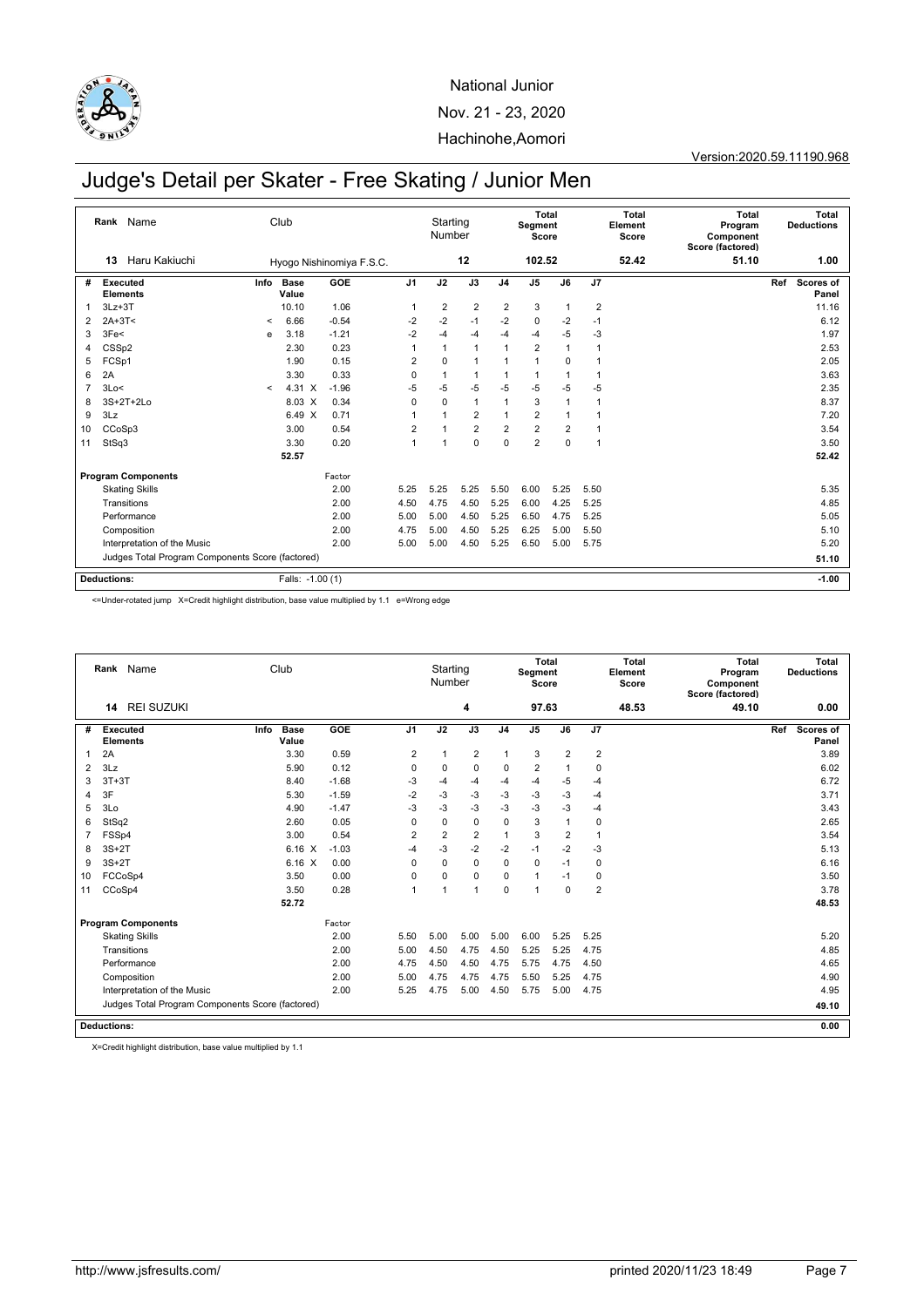

Version:2020.59.11190.968

## Judge's Detail per Skater - Free Skating / Junior Men

|                | Rank Name                                        |         | Club             |                          |                | Starting<br>Number |                |                | <b>Total</b><br>Segment<br>Score |                |                | <b>Total</b><br>Element<br>Score | <b>Total</b><br>Program<br>Component<br>Score (factored) |     | <b>Total</b><br><b>Deductions</b> |
|----------------|--------------------------------------------------|---------|------------------|--------------------------|----------------|--------------------|----------------|----------------|----------------------------------|----------------|----------------|----------------------------------|----------------------------------------------------------|-----|-----------------------------------|
|                | Haru Kakiuchi<br>13                              |         |                  | Hyogo Nishinomiya F.S.C. |                |                    | 12             |                | 102.52                           |                |                | 52.42                            | 51.10                                                    |     | 1.00                              |
| #              | Info<br>Executed<br><b>Elements</b>              |         | Base<br>Value    | GOE                      | J <sub>1</sub> | J2                 | J3             | J <sub>4</sub> | J <sub>5</sub>                   | J6             | J7             |                                  |                                                          | Ref | Scores of<br>Panel                |
| 1              | $3Lz + 3T$                                       |         | 10.10            | 1.06                     | -1             | $\overline{2}$     | $\overline{2}$ | $\overline{2}$ | 3                                | 1              | $\overline{2}$ |                                  |                                                          |     | 11.16                             |
| 2              | $2A+3T<$                                         | $\prec$ | 6.66             | $-0.54$                  | $-2$           | $-2$               | $-1$           | $-2$           | $\mathbf 0$                      | $-2$           | $-1$           |                                  |                                                          |     | 6.12                              |
| 3              | 3Fe<                                             | e       | 3.18             | $-1.21$                  | $-2$           | $-4$               | $-4$           | -4             | $-4$                             | $-5$           | $-3$           |                                  |                                                          |     | 1.97                              |
| 4              | CSSp2                                            |         | 2.30             | 0.23                     | -1             | 1                  | $\overline{1}$ | $\mathbf{1}$   | $\overline{2}$                   | 1              | $\overline{1}$ |                                  |                                                          |     | 2.53                              |
| 5              | FCSp1                                            |         | 1.90             | 0.15                     | $\overline{2}$ | $\mathbf 0$        | $\overline{1}$ | 1              | 1                                | 0              | -1             |                                  |                                                          |     | 2.05                              |
| 6              | 2A                                               |         | 3.30             | 0.33                     | $\mathbf 0$    | 1                  | $\overline{1}$ | $\mathbf{1}$   | $\mathbf{1}$                     | 1              | $\mathbf{1}$   |                                  |                                                          |     | 3.63                              |
| $\overline{7}$ | 3Lo<                                             | $\,<\,$ | 4.31 X           | $-1.96$                  | $-5$           | $-5$               | $-5$           | $-5$           | $-5$                             | $-5$           | $-5$           |                                  |                                                          |     | 2.35                              |
| 8              | 3S+2T+2Lo                                        |         | 8.03 X           | 0.34                     | 0              | $\mathbf 0$        | $\mathbf{1}$   | 1              | 3                                | $\mathbf{1}$   | $\mathbf{1}$   |                                  |                                                          |     | 8.37                              |
| 9              | 3Lz                                              |         | 6.49 X           | 0.71                     | 1              | $\overline{1}$     | $\overline{2}$ | 1              | $\overline{2}$                   | 1              | -1             |                                  |                                                          |     | 7.20                              |
| 10             | CCoSp3                                           |         | 3.00             | 0.54                     | $\overline{2}$ | 1                  | $\overline{2}$ | $\overline{2}$ | $\overline{2}$                   | $\overline{2}$ | $\mathbf{1}$   |                                  |                                                          |     | 3.54                              |
| 11             | StSq3                                            |         | 3.30             | 0.20                     | $\mathbf{1}$   | 1                  | $\mathbf 0$    | $\mathbf 0$    | $\overline{2}$                   | $\mathbf 0$    | $\overline{1}$ |                                  |                                                          |     | 3.50                              |
|                |                                                  |         | 52.57            |                          |                |                    |                |                |                                  |                |                |                                  |                                                          |     | 52.42                             |
|                | <b>Program Components</b>                        |         |                  | Factor                   |                |                    |                |                |                                  |                |                |                                  |                                                          |     |                                   |
|                | <b>Skating Skills</b>                            |         |                  | 2.00                     | 5.25           | 5.25               | 5.25           | 5.50           | 6.00                             | 5.25           | 5.50           |                                  |                                                          |     | 5.35                              |
|                | Transitions                                      |         |                  | 2.00                     | 4.50           | 4.75               | 4.50           | 5.25           | 6.00                             | 4.25           | 5.25           |                                  |                                                          |     | 4.85                              |
|                | Performance                                      |         |                  | 2.00                     | 5.00           | 5.00               | 4.50           | 5.25           | 6.50                             | 4.75           | 5.25           |                                  |                                                          |     | 5.05                              |
|                | Composition                                      |         |                  | 2.00                     | 4.75           | 5.00               | 4.50           | 5.25           | 6.25                             | 5.00           | 5.50           |                                  |                                                          |     | 5.10                              |
|                | Interpretation of the Music                      |         |                  | 2.00                     | 5.00           | 5.00               | 4.50           | 5.25           | 6.50                             | 5.00           | 5.75           |                                  |                                                          |     | 5.20                              |
|                | Judges Total Program Components Score (factored) |         |                  |                          |                |                    |                |                |                                  |                |                |                                  |                                                          |     | 51.10                             |
|                | <b>Deductions:</b>                               |         | Falls: -1.00 (1) |                          |                |                    |                |                |                                  |                |                |                                  |                                                          |     | $-1.00$                           |

<=Under-rotated jump X=Credit highlight distribution, base value multiplied by 1.1 e=Wrong edge

|    | 14                                 | Rank Name<br><b>REI SUZUKI</b>                   | Club                         |         |                | Starting<br>Number | 4              |                | Segment<br>Score<br>97.63 | Total          |                | Total<br>Element<br>Score<br>48.53 | Total<br>Program<br>Component<br>Score (factored)<br>49.10 |     | Total<br><b>Deductions</b><br>0.00 |
|----|------------------------------------|--------------------------------------------------|------------------------------|---------|----------------|--------------------|----------------|----------------|---------------------------|----------------|----------------|------------------------------------|------------------------------------------------------------|-----|------------------------------------|
|    |                                    |                                                  |                              |         |                |                    |                |                |                           |                |                |                                    |                                                            |     |                                    |
| #  | <b>Executed</b><br><b>Elements</b> |                                                  | Info<br><b>Base</b><br>Value | GOE     | J <sub>1</sub> | J2                 | J3             | J <sub>4</sub> | J <sub>5</sub>            | J6             | J7             |                                    |                                                            | Ref | Scores of<br>Panel                 |
| 1  | 2A                                 |                                                  | 3.30                         | 0.59    | 2              | 1                  | 2              | 1              | 3                         | 2              | $\overline{2}$ |                                    |                                                            |     | 3.89                               |
| 2  | 3Lz                                |                                                  | 5.90                         | 0.12    | $\mathbf 0$    | $\mathbf 0$        | $\mathbf 0$    | 0              | $\overline{2}$            | 1              | 0              |                                    |                                                            |     | 6.02                               |
| 3  | $3T+3T$                            |                                                  | 8.40                         | $-1.68$ | $-3$           | $-4$               | $-4$           | $-4$           | -4                        | -5             | $-4$           |                                    |                                                            |     | 6.72                               |
| 4  | 3F                                 |                                                  | 5.30                         | $-1.59$ | $-2$           | $-3$               | $-3$           | $-3$           | $-3$                      | $-3$           | $-4$           |                                    |                                                            |     | 3.71                               |
| 5  | 3 <sub>LO</sub>                    |                                                  | 4.90                         | $-1.47$ | $-3$           | $-3$               | $-3$           | $-3$           | $-3$                      | $-3$           | $-4$           |                                    |                                                            |     | 3.43                               |
| 6  | StSq2                              |                                                  | 2.60                         | 0.05    | 0              | $\mathbf 0$        | $\mathbf 0$    | 0              | 3                         | $\overline{1}$ | $\mathbf 0$    |                                    |                                                            |     | 2.65                               |
|    | FSSp4                              |                                                  | 3.00                         | 0.54    | $\overline{2}$ | $\overline{2}$     | $\overline{2}$ | 1              | 3                         | $\overline{2}$ | $\overline{1}$ |                                    |                                                            |     | 3.54                               |
| 8  | $3S+2T$                            |                                                  | 6.16 X                       | $-1.03$ | $-4$           | $-3$               | $-2$           | $-2$           | $-1$                      | $-2$           | $-3$           |                                    |                                                            |     | 5.13                               |
| 9  | $3S+2T$                            |                                                  | 6.16 X                       | 0.00    | $\Omega$       | $\Omega$           | $\Omega$       | $\Omega$       | 0                         | $-1$           | $\mathbf 0$    |                                    |                                                            |     | 6.16                               |
| 10 | FCCoSp4                            |                                                  | 3.50                         | 0.00    | $\mathbf 0$    | $\mathbf 0$        | $\mathbf 0$    | 0              | $\mathbf{1}$              | $-1$           | $\mathbf 0$    |                                    |                                                            |     | 3.50                               |
| 11 | CCoSp4                             |                                                  | 3.50                         | 0.28    | $\overline{1}$ | $\overline{ }$     | $\overline{1}$ | $\Omega$       | 1                         | $\Omega$       | $\overline{2}$ |                                    |                                                            |     | 3.78                               |
|    |                                    |                                                  | 52.72                        |         |                |                    |                |                |                           |                |                |                                    |                                                            |     | 48.53                              |
|    |                                    | <b>Program Components</b>                        |                              | Factor  |                |                    |                |                |                           |                |                |                                    |                                                            |     |                                    |
|    |                                    | <b>Skating Skills</b>                            |                              | 2.00    | 5.50           | 5.00               | 5.00           | 5.00           | 6.00                      | 5.25           | 5.25           |                                    |                                                            |     | 5.20                               |
|    |                                    | Transitions                                      |                              | 2.00    | 5.00           | 4.50               | 4.75           | 4.50           | 5.25                      | 5.25           | 4.75           |                                    |                                                            |     | 4.85                               |
|    |                                    | Performance                                      |                              | 2.00    | 4.75           | 4.50               | 4.50           | 4.75           | 5.75                      | 4.75           | 4.50           |                                    |                                                            |     | 4.65                               |
|    |                                    | Composition                                      |                              | 2.00    | 5.00           | 4.75               | 4.75           | 4.75           | 5.50                      | 5.25           | 4.75           |                                    |                                                            |     | 4.90                               |
|    |                                    | Interpretation of the Music                      |                              | 2.00    | 5.25           | 4.75               | 5.00           | 4.50           | 5.75                      | 5.00           | 4.75           |                                    |                                                            |     | 4.95                               |
|    |                                    | Judges Total Program Components Score (factored) |                              |         |                |                    |                |                |                           |                |                |                                    |                                                            |     | 49.10                              |
|    | <b>Deductions:</b>                 |                                                  |                              |         |                |                    |                |                |                           |                |                |                                    |                                                            |     | 0.00                               |

X=Credit highlight distribution, base value multiplied by 1.1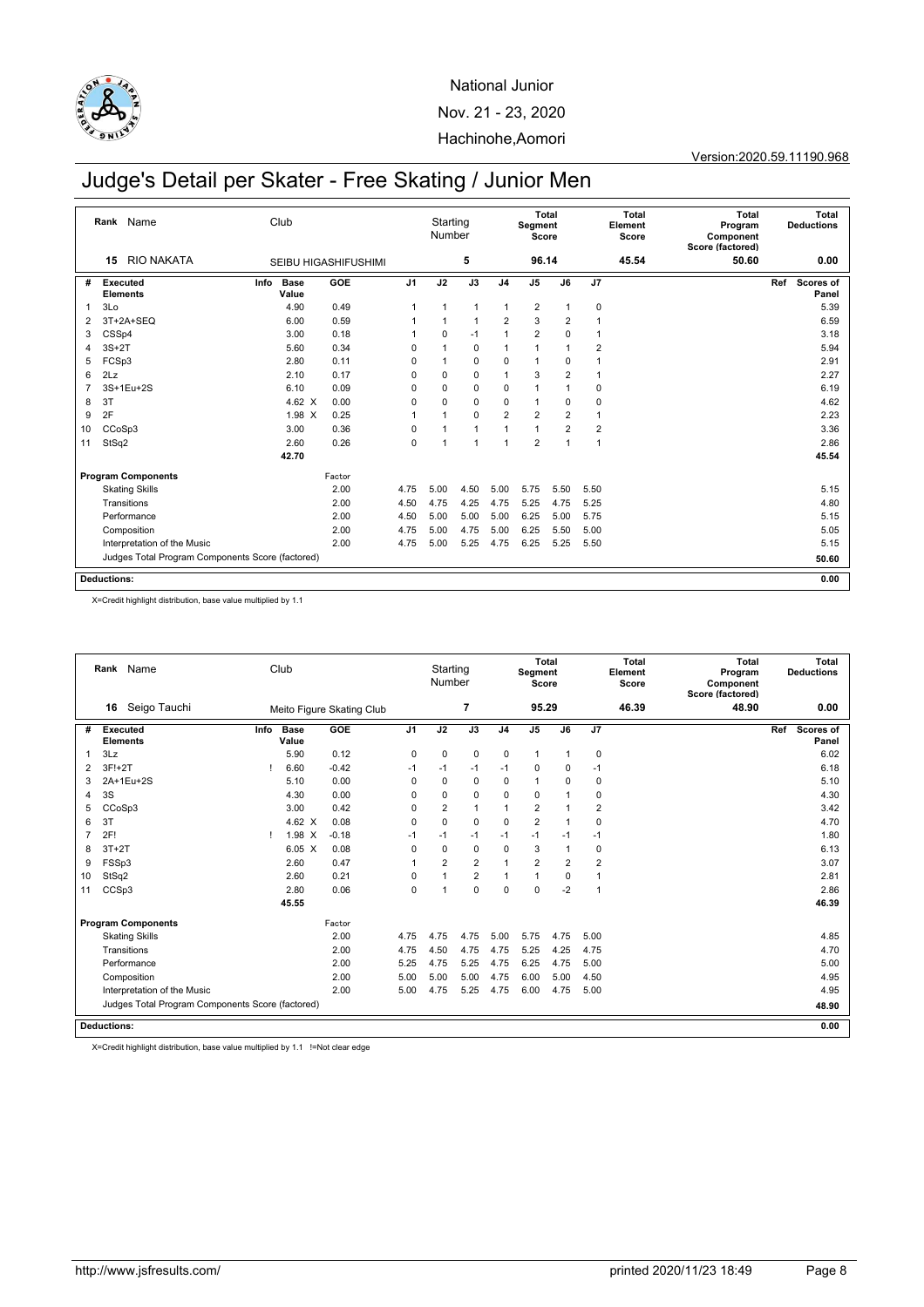

Version:2020.59.11190.968

# Judge's Detail per Skater - Free Skating / Junior Men

|    | Name<br>Rank                                     | Club                  |                             |                 | Starting<br>Number |                |                | Segment<br>Score        | Total          |                | <b>Total</b><br>Element<br>Score | <b>Total</b><br>Program<br>Component<br>Score (factored) |     | Total<br><b>Deductions</b> |
|----|--------------------------------------------------|-----------------------|-----------------------------|-----------------|--------------------|----------------|----------------|-------------------------|----------------|----------------|----------------------------------|----------------------------------------------------------|-----|----------------------------|
|    | <b>RIO NAKATA</b><br>15                          |                       | <b>SEIBU HIGASHIFUSHIMI</b> |                 |                    | 5              |                | 96.14                   |                |                | 45.54                            | 50.60                                                    |     | 0.00                       |
| #  | Executed<br><b>Elements</b>                      | Info<br>Base<br>Value | GOE                         | $\overline{J1}$ | J2                 | J3             | J <sub>4</sub> | J5                      | J6             | J7             |                                  |                                                          | Ref | Scores of<br>Panel         |
| 1  | 3Lo                                              | 4.90                  | 0.49                        | 1               | 1                  | $\mathbf{1}$   | $\mathbf{1}$   | $\overline{\mathbf{c}}$ | 1              | $\mathbf 0$    |                                  |                                                          |     | 5.39                       |
| 2  | 3T+2A+SEQ                                        | 6.00                  | 0.59                        |                 |                    | $\overline{1}$ | $\overline{2}$ | 3                       | $\overline{2}$ |                |                                  |                                                          |     | 6.59                       |
| 3  | CSSp4                                            | 3.00                  | 0.18                        |                 | 0                  | $-1$           | 1              | $\overline{2}$          | 0              | $\overline{1}$ |                                  |                                                          |     | 3.18                       |
| 4  | $3S+2T$                                          | 5.60                  | 0.34                        | $\Omega$        |                    | $\mathbf 0$    | 1              | 1                       |                | $\overline{2}$ |                                  |                                                          |     | 5.94                       |
| 5  | FCSp3                                            | 2.80                  | 0.11                        | 0               |                    | $\mathbf 0$    | 0              | 1                       | 0              |                |                                  |                                                          |     | 2.91                       |
| 6  | 2Lz                                              | 2.10                  | 0.17                        | 0               | 0                  | $\mathbf 0$    | 1              | 3                       | $\overline{2}$ | -1             |                                  |                                                          |     | 2.27                       |
| 7  | 3S+1Eu+2S                                        | 6.10                  | 0.09                        | $\Omega$        | 0                  | $\mathbf 0$    | $\mathbf 0$    | 1                       |                | 0              |                                  |                                                          |     | 6.19                       |
| 8  | 3T                                               | 4.62 $\times$         | 0.00                        | 0               | 0                  | $\mathbf 0$    | 0              | 1                       | 0              | 0              |                                  |                                                          |     | 4.62                       |
| 9  | 2F                                               | $1.98 \times$         | 0.25                        | 1               | 1                  | $\mathbf 0$    | $\overline{2}$ | $\overline{2}$          | $\overline{2}$ | 1              |                                  |                                                          |     | 2.23                       |
| 10 | CCoSp3                                           | 3.00                  | 0.36                        | $\Omega$        |                    | $\mathbf{1}$   | 1              | 1                       | $\overline{2}$ | $\overline{2}$ |                                  |                                                          |     | 3.36                       |
| 11 | StSq2                                            | 2.60                  | 0.26                        | $\mathbf 0$     | 1                  | $\mathbf{1}$   | 1              | $\overline{c}$          | 4              | 1              |                                  |                                                          |     | 2.86                       |
|    |                                                  | 42.70                 |                             |                 |                    |                |                |                         |                |                |                                  |                                                          |     | 45.54                      |
|    | <b>Program Components</b>                        |                       | Factor                      |                 |                    |                |                |                         |                |                |                                  |                                                          |     |                            |
|    | <b>Skating Skills</b>                            |                       | 2.00                        | 4.75            | 5.00               | 4.50           | 5.00           | 5.75                    | 5.50           | 5.50           |                                  |                                                          |     | 5.15                       |
|    | Transitions                                      |                       | 2.00                        | 4.50            | 4.75               | 4.25           | 4.75           | 5.25                    | 4.75           | 5.25           |                                  |                                                          |     | 4.80                       |
|    | Performance                                      |                       | 2.00                        | 4.50            | 5.00               | 5.00           | 5.00           | 6.25                    | 5.00           | 5.75           |                                  |                                                          |     | 5.15                       |
|    | Composition                                      |                       | 2.00                        | 4.75            | 5.00               | 4.75           | 5.00           | 6.25                    | 5.50           | 5.00           |                                  |                                                          |     | 5.05                       |
|    | Interpretation of the Music                      |                       | 2.00                        | 4.75            | 5.00               | 5.25           | 4.75           | 6.25                    | 5.25           | 5.50           |                                  |                                                          |     | 5.15                       |
|    | Judges Total Program Components Score (factored) |                       |                             |                 |                    |                |                |                         |                |                |                                  |                                                          |     | 50.60                      |
|    | <b>Deductions:</b>                               |                       |                             |                 |                    |                |                |                         |                |                |                                  |                                                          |     | 0.00                       |

X=Credit highlight distribution, base value multiplied by 1.1

|                | Rank Name                                        |      | Club            |                           |                | Starting<br>Number |                |                | Segment<br>Score | Total          |                | Total<br>Element<br>Score | <b>Total</b><br>Program<br>Component<br>Score (factored) | Total<br><b>Deductions</b> |
|----------------|--------------------------------------------------|------|-----------------|---------------------------|----------------|--------------------|----------------|----------------|------------------|----------------|----------------|---------------------------|----------------------------------------------------------|----------------------------|
|                | Seigo Tauchi<br>16                               |      |                 | Meito Figure Skating Club |                |                    | $\overline{7}$ |                | 95.29            |                |                | 46.39                     | 48.90                                                    | 0.00                       |
| #              | <b>Executed</b><br><b>Elements</b>               | Info | Base<br>Value   | GOE                       | J <sub>1</sub> | J2                 | J3             | J <sub>4</sub> | J <sub>5</sub>   | J6             | J7             |                           |                                                          | Scores of<br>Ref<br>Panel  |
| 1              | 3Lz                                              |      | 5.90            | 0.12                      | $\mathbf 0$    | $\mathbf 0$        | $\mathbf 0$    | $\mathbf 0$    | $\mathbf{1}$     | -1             | 0              |                           |                                                          | 6.02                       |
| 2              | $3F!+2T$                                         |      | 6.60            | $-0.42$                   | $-1$           | $-1$               | $-1$           | $-1$           | 0                | 0              | $-1$           |                           |                                                          | 6.18                       |
| 3              | 2A+1Eu+2S                                        |      | 5.10            | 0.00                      | $\Omega$       | $\mathbf 0$        | $\mathbf 0$    | 0              | $\mathbf{1}$     | $\mathbf 0$    | 0              |                           |                                                          | 5.10                       |
| 4              | 3S                                               |      | 4.30            | 0.00                      | $\Omega$       | $\Omega$           | $\mathbf 0$    | 0              | $\mathbf 0$      |                | 0              |                           |                                                          | 4.30                       |
| 5              | CCoSp3                                           |      | 3.00            | 0.42                      | $\Omega$       | $\overline{2}$     | $\mathbf{1}$   | 1              | $\overline{2}$   |                | $\overline{2}$ |                           |                                                          | 3.42                       |
| 6              | 3T                                               |      | $4.62 \times$   | 0.08                      | $\Omega$       | $\Omega$           | $\mathbf 0$    | $\mathbf 0$    | $\overline{c}$   |                | 0              |                           |                                                          | 4.70                       |
| $\overline{7}$ | 2F!                                              |      | $1.98 \times$   | $-0.18$                   | $-1$           | $-1$               | $-1$           | $-1$           | $-1$             | $-1$           | $-1$           |                           |                                                          | 1.80                       |
| 8              | $3T+2T$                                          |      | $6.05\text{ X}$ | 0.08                      | $\Omega$       | $\mathbf 0$        | $\mathbf 0$    | 0              | 3                | $\overline{1}$ | 0              |                           |                                                          | 6.13                       |
| 9              | FSSp3                                            |      | 2.60            | 0.47                      | 1              | $\overline{2}$     | $\overline{2}$ | 1              | $\overline{2}$   | $\overline{2}$ | $\overline{2}$ |                           |                                                          | 3.07                       |
| 10             | StSq2                                            |      | 2.60            | 0.21                      | 0              | 1                  | $\overline{2}$ | 1              | 1                | $\mathbf 0$    | $\overline{1}$ |                           |                                                          | 2.81                       |
| 11             | CCSp3                                            |      | 2.80            | 0.06                      | $\mathbf 0$    | 1                  | $\mathbf 0$    | 0              | $\mathbf 0$      | $-2$           |                |                           |                                                          | 2.86                       |
|                |                                                  |      | 45.55           |                           |                |                    |                |                |                  |                |                |                           |                                                          | 46.39                      |
|                | <b>Program Components</b>                        |      |                 | Factor                    |                |                    |                |                |                  |                |                |                           |                                                          |                            |
|                | <b>Skating Skills</b>                            |      |                 | 2.00                      | 4.75           | 4.75               | 4.75           | 5.00           | 5.75             | 4.75           | 5.00           |                           |                                                          | 4.85                       |
|                | Transitions                                      |      |                 | 2.00                      | 4.75           | 4.50               | 4.75           | 4.75           | 5.25             | 4.25           | 4.75           |                           |                                                          | 4.70                       |
|                | Performance                                      |      |                 | 2.00                      | 5.25           | 4.75               | 5.25           | 4.75           | 6.25             | 4.75           | 5.00           |                           |                                                          | 5.00                       |
|                | Composition                                      |      |                 | 2.00                      | 5.00           | 5.00               | 5.00           | 4.75           | 6.00             | 5.00           | 4.50           |                           |                                                          | 4.95                       |
|                | Interpretation of the Music                      |      |                 | 2.00                      | 5.00           | 4.75               | 5.25           | 4.75           | 6.00             | 4.75           | 5.00           |                           |                                                          | 4.95                       |
|                | Judges Total Program Components Score (factored) |      |                 |                           |                |                    |                |                |                  |                |                |                           |                                                          | 48.90                      |
|                | <b>Deductions:</b>                               |      |                 |                           |                |                    |                |                |                  |                |                |                           |                                                          | 0.00                       |

X=Credit highlight distribution, base value multiplied by 1.1 !=Not clear edge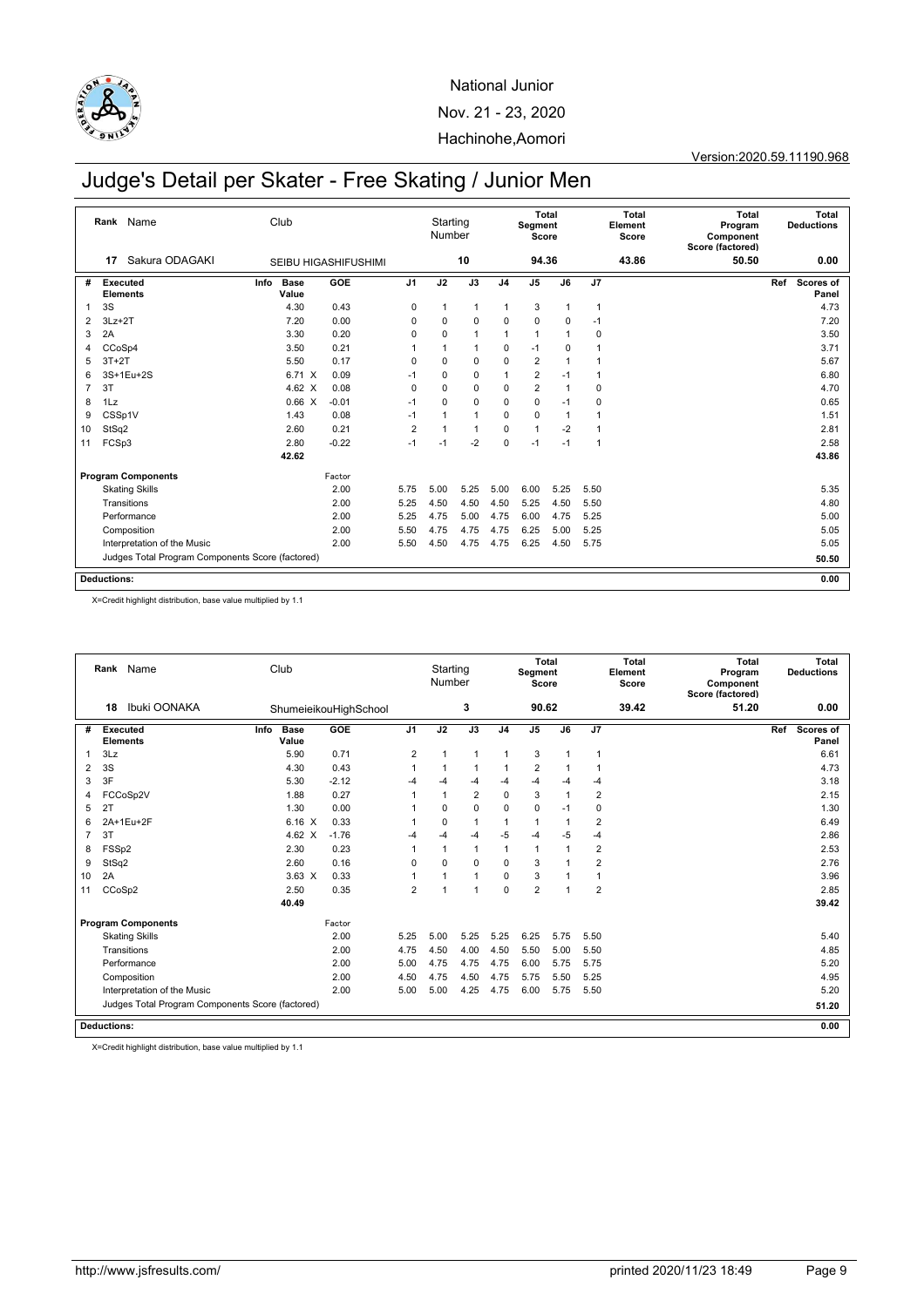

Version:2020.59.11190.968

# Judge's Detail per Skater - Free Skating / Junior Men

|                | Name<br>Rank                                     | Club                         |                             |                 | Starting<br>Number |                 |                | Segment<br>Score | Total          |             | <b>Total</b><br>Element<br>Score | <b>Total</b><br>Program<br>Component<br>Score (factored) |     | Total<br><b>Deductions</b> |
|----------------|--------------------------------------------------|------------------------------|-----------------------------|-----------------|--------------------|-----------------|----------------|------------------|----------------|-------------|----------------------------------|----------------------------------------------------------|-----|----------------------------|
|                | Sakura ODAGAKI<br>17                             |                              | <b>SEIBU HIGASHIFUSHIMI</b> |                 |                    | 10              |                | 94.36            |                |             | 43.86                            | 50.50                                                    |     | 0.00                       |
| #              | Executed<br><b>Elements</b>                      | <b>Base</b><br>Info<br>Value | GOE                         | $\overline{J1}$ | J2                 | $\overline{J3}$ | J <sub>4</sub> | J <sub>5</sub>   | J6             | J7          |                                  |                                                          | Ref | <b>Scores of</b><br>Panel  |
| 1              | 3S                                               | 4.30                         | 0.43                        | 0               | 1                  | $\mathbf{1}$    | $\mathbf{1}$   | 3                | $\overline{1}$ | -1          |                                  |                                                          |     | 4.73                       |
| 2              | $3Lz + 2T$                                       | 7.20                         | 0.00                        | 0               | 0                  | $\mathbf 0$     | 0              | $\mathbf 0$      | $\mathbf 0$    | $-1$        |                                  |                                                          |     | 7.20                       |
| 3              | 2A                                               | 3.30                         | 0.20                        | 0               | 0                  | $\mathbf{1}$    | 1              | $\mathbf{1}$     | 1              | 0           |                                  |                                                          |     | 3.50                       |
| 4              | CCoSp4                                           | 3.50                         | 0.21                        |                 |                    | $\mathbf{1}$    | 0              | $-1$             | 0              |             |                                  |                                                          |     | 3.71                       |
| 5              | $3T+2T$                                          | 5.50                         | 0.17                        | 0               | 0                  | $\mathbf 0$     | 0              | $\overline{2}$   |                |             |                                  |                                                          |     | 5.67                       |
| 6              | 3S+1Eu+2S                                        | 6.71 X                       | 0.09                        | $-1$            | 0                  | 0               | 1              | 2                | $-1$           |             |                                  |                                                          |     | 6.80                       |
| $\overline{7}$ | 3T                                               | 4.62 $\times$                | 0.08                        | 0               | $\Omega$           | $\mathbf 0$     | 0              | $\overline{2}$   | -1             | 0           |                                  |                                                          |     | 4.70                       |
| 8              | 1Lz                                              | 0.66 X                       | $-0.01$                     | $-1$            | 0                  | $\mathbf 0$     | 0              | 0                | $-1$           | $\mathbf 0$ |                                  |                                                          |     | 0.65                       |
| 9              | CSSp1V                                           | 1.43                         | 0.08                        | $-1$            |                    | $\mathbf{1}$    | 0              | $\mathbf 0$      | -1             |             |                                  |                                                          |     | 1.51                       |
| 10             | StSq2                                            | 2.60                         | 0.21                        | $\overline{2}$  | 1                  | $\mathbf{1}$    | $\Omega$       | $\mathbf{1}$     | $-2$           |             |                                  |                                                          |     | 2.81                       |
| 11             | FCSp3                                            | 2.80                         | $-0.22$                     | $-1$            | $-1$               | $-2$            | 0              | $-1$             | $-1$           | -1          |                                  |                                                          |     | 2.58                       |
|                |                                                  | 42.62                        |                             |                 |                    |                 |                |                  |                |             |                                  |                                                          |     | 43.86                      |
|                | <b>Program Components</b>                        |                              | Factor                      |                 |                    |                 |                |                  |                |             |                                  |                                                          |     |                            |
|                | <b>Skating Skills</b>                            |                              | 2.00                        | 5.75            | 5.00               | 5.25            | 5.00           | 6.00             | 5.25           | 5.50        |                                  |                                                          |     | 5.35                       |
|                | Transitions                                      |                              | 2.00                        | 5.25            | 4.50               | 4.50            | 4.50           | 5.25             | 4.50           | 5.50        |                                  |                                                          |     | 4.80                       |
|                | Performance                                      |                              | 2.00                        | 5.25            | 4.75               | 5.00            | 4.75           | 6.00             | 4.75           | 5.25        |                                  |                                                          |     | 5.00                       |
|                | Composition                                      |                              | 2.00                        | 5.50            | 4.75               | 4.75            | 4.75           | 6.25             | 5.00           | 5.25        |                                  |                                                          |     | 5.05                       |
|                | Interpretation of the Music                      |                              | 2.00                        | 5.50            | 4.50               | 4.75            | 4.75           | 6.25             | 4.50           | 5.75        |                                  |                                                          |     | 5.05                       |
|                | Judges Total Program Components Score (factored) |                              |                             |                 |                    |                 |                |                  |                |             |                                  |                                                          |     | 50.50                      |
|                | <b>Deductions:</b>                               |                              |                             |                 |                    |                 |                |                  |                |             |                                  |                                                          |     | 0.00                       |

X=Credit highlight distribution, base value multiplied by 1.1

|                | Rank                               | Name                                             |      | Club                 |                       |                      | Starting<br>Number |                |                | Segment<br>Score | <b>Total</b> |                | <b>Total</b><br>Element<br>Score | <b>Total</b><br>Program<br>Component<br>Score (factored) |     | Total<br><b>Deductions</b> |
|----------------|------------------------------------|--------------------------------------------------|------|----------------------|-----------------------|----------------------|--------------------|----------------|----------------|------------------|--------------|----------------|----------------------------------|----------------------------------------------------------|-----|----------------------------|
|                | 18                                 | Ibuki OONAKA                                     |      |                      | ShumeieikouHighSchool |                      |                    | 3              |                | 90.62            |              |                | 39.42                            | 51.20                                                    |     | 0.00                       |
| #              | <b>Executed</b><br><b>Elements</b> |                                                  | Info | <b>Base</b><br>Value | GOE                   | J <sub>1</sub>       | J2                 | J3             | J <sub>4</sub> | J <sub>5</sub>   | J6           | J7             |                                  |                                                          | Ref | <b>Scores of</b><br>Panel  |
| 1              | 3Lz                                |                                                  |      | 5.90                 | 0.71                  | $\overline{2}$       | 1                  | $\mathbf{1}$   | 1              | 3                | 1            |                |                                  |                                                          |     | 6.61                       |
| 2              | 3S                                 |                                                  |      | 4.30                 | 0.43                  | 1                    | 1                  | $\overline{1}$ | 1              | $\overline{2}$   |              |                |                                  |                                                          |     | 4.73                       |
| 3              | 3F                                 |                                                  |      | 5.30                 | $-2.12$               | $-4$                 | $-4$               | $-4$           | -4             | $-4$             | $-4$         | $-4$           |                                  |                                                          |     | 3.18                       |
| 4              |                                    | FCCoSp2V                                         |      | 1.88                 | 0.27                  | $\mathbf{1}$         | $\mathbf{1}$       | $\overline{2}$ | 0              | 3                | 1            | $\overline{c}$ |                                  |                                                          |     | 2.15                       |
| 5              | 2T                                 |                                                  |      | 1.30                 | 0.00                  |                      | $\Omega$           | $\mathbf 0$    | 0              | $\mathbf 0$      | $-1$         | $\mathbf 0$    |                                  |                                                          |     | 1.30                       |
| 6              |                                    | 2A+1Eu+2F                                        |      | 6.16 X               | 0.33                  |                      | $\mathbf 0$        | $\mathbf{1}$   | 1              | 1                |              | $\overline{2}$ |                                  |                                                          |     | 6.49                       |
| $\overline{7}$ | 3T                                 |                                                  |      | $4.62 \times$        | $-1.76$               | $-4$                 | $-4$               | $-4$           | $-5$           | $-4$             | $-5$         | $-4$           |                                  |                                                          |     | 2.86                       |
| 8              | FSSp2                              |                                                  |      | 2.30                 | 0.23                  | 1                    | 1                  | $\mathbf{1}$   | 1              | $\mathbf{1}$     | 1            | $\overline{2}$ |                                  |                                                          |     | 2.53                       |
| 9              | StSq2                              |                                                  |      | 2.60                 | 0.16                  | 0                    | $\Omega$           | $\mathbf 0$    | 0              | 3                |              | $\overline{2}$ |                                  |                                                          |     | 2.76                       |
| 10             | 2A                                 |                                                  |      | $3.63 \times$        | 0.33                  | $\blacktriangleleft$ | $\overline{1}$     | $\mathbf{1}$   | 0              | 3                |              | $\mathbf{1}$   |                                  |                                                          |     | 3.96                       |
| 11             | CCoSp2                             |                                                  |      | 2.50                 | 0.35                  | $\overline{2}$       | 1                  | $\mathbf{1}$   | 0              | $\overline{2}$   | 1            | $\overline{2}$ |                                  |                                                          |     | 2.85                       |
|                |                                    |                                                  |      | 40.49                |                       |                      |                    |                |                |                  |              |                |                                  |                                                          |     | 39.42                      |
|                |                                    | <b>Program Components</b>                        |      |                      | Factor                |                      |                    |                |                |                  |              |                |                                  |                                                          |     |                            |
|                |                                    | <b>Skating Skills</b>                            |      |                      | 2.00                  | 5.25                 | 5.00               | 5.25           | 5.25           | 6.25             | 5.75         | 5.50           |                                  |                                                          |     | 5.40                       |
|                |                                    | Transitions                                      |      |                      | 2.00                  | 4.75                 | 4.50               | 4.00           | 4.50           | 5.50             | 5.00         | 5.50           |                                  |                                                          |     | 4.85                       |
|                |                                    | Performance                                      |      |                      | 2.00                  | 5.00                 | 4.75               | 4.75           | 4.75           | 6.00             | 5.75         | 5.75           |                                  |                                                          |     | 5.20                       |
|                |                                    | Composition                                      |      |                      | 2.00                  | 4.50                 | 4.75               | 4.50           | 4.75           | 5.75             | 5.50         | 5.25           |                                  |                                                          |     | 4.95                       |
|                |                                    | Interpretation of the Music                      |      |                      | 2.00                  | 5.00                 | 5.00               | 4.25           | 4.75           | 6.00             | 5.75         | 5.50           |                                  |                                                          |     | 5.20                       |
|                |                                    | Judges Total Program Components Score (factored) |      |                      |                       |                      |                    |                |                |                  |              |                |                                  |                                                          |     | 51.20                      |
|                | <b>Deductions:</b>                 |                                                  |      |                      |                       |                      |                    |                |                |                  |              |                |                                  |                                                          |     | 0.00                       |

X=Credit highlight distribution, base value multiplied by 1.1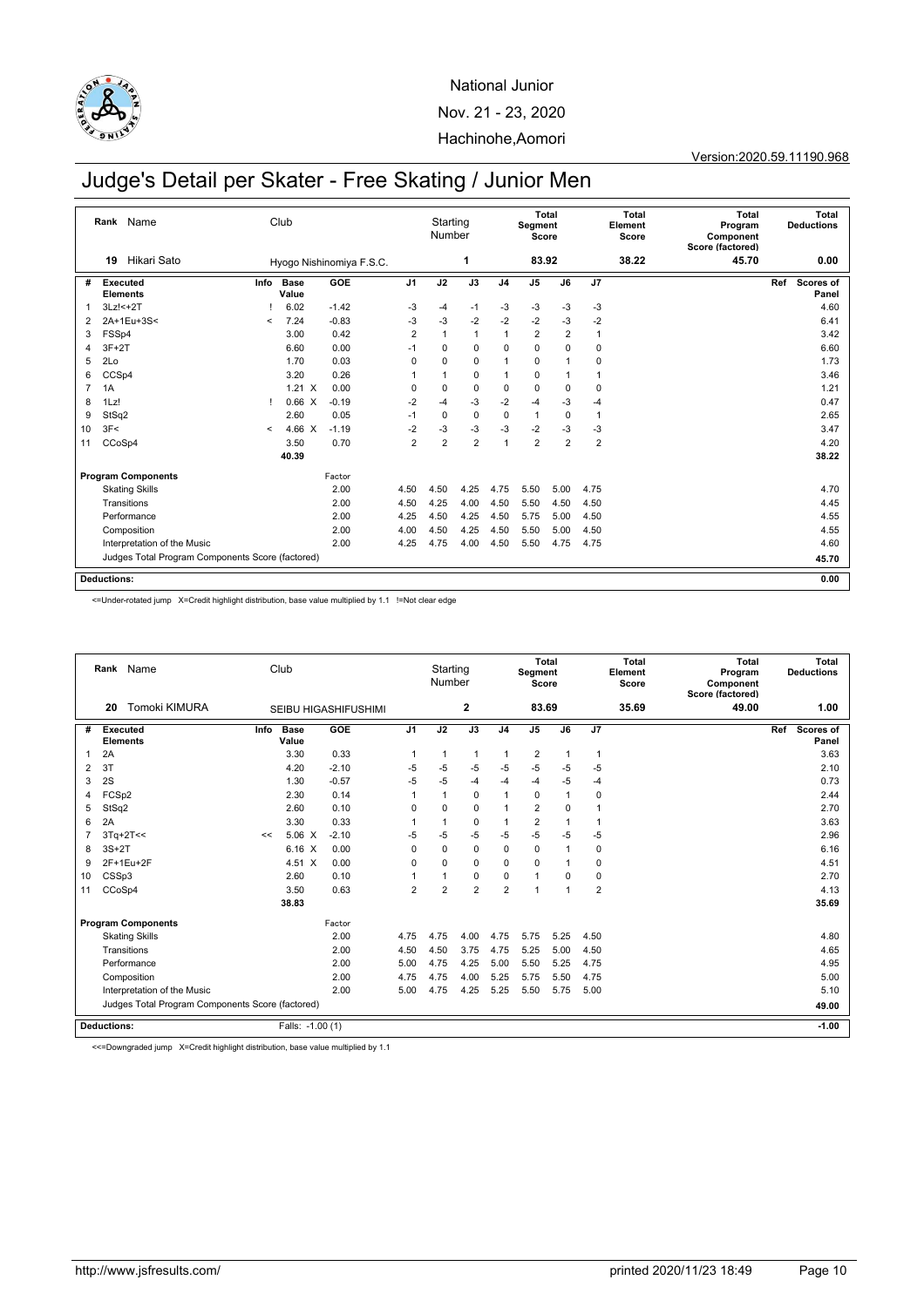

Version:2020.59.11190.968

## Judge's Detail per Skater - Free Skating / Junior Men

**19** Hikari Sato **Rank** Name Starting<br>Number **Total Segment Score Total Element Score Total Program Component Score (factored) Total Deductions** Hyogo Nishinomiya F.S.C. **1 83.92 38.22 45.70 0.00 Executed Elements # Scores of Panel Info GOE J1 J2 J3 J4 J5 J6 J7 Ref Program Components**<br>
Skating Skills<br>
2.00 Judges Total Program Components Score (factored) **Deductions:** Club **0.00** Info Base **Value** 1 3Lz!<+2T ! 6.02 -1.42 -3 -4 -1 -3 -3 -3 -3 4.60 2 2A+1Eu+3S< < 7.24 -0.83 -3 -3 -2 -2 -2 -3 -2 6.41 3 FSSp4 3.00 0.42 2 1 1 1 2 2 1 3.42 4 3F+2T 6.60 0.00 -1 0 0 0 0 0 0 6.60 5 2Lo 1.70 0.03 0 0 0 1 0 1 0 1.73 6 CCSp4 3.20 0.26 1 1 0 1 0 1 1 3.46 7 1A 1.21 X 0.00 0 0 0 0 0 0 0 1.21 8 1Lz! ! 0.66 X -0.19 -2 -4 -3 -2 -4 -3 -4 0.47 9 StSq2 2.60 0.05 -1 0 0 0 1 0 1 2.65 10 3F< < 4.66 X -1.19 -2 -3 -3 -3 -2 -3 -3 3.47 11 CCoSp4 3.50 0.70 2 2 2 1 2 2 2 4.20 **40.39 38.22** Skating Skills 2.00 4.50 4.50 4.25 4.75 5.50 5.00 4.75 4.70 Transitions 2.00 4.50 4.25 4.00 4.50 5.50 4.50 4.50 4.45 Performance 2.00 4.25 4.50 4.25 4.50 5.75 5.00 4.50 4.55 Composition 2.00 4.00 4.50 4.25 4.50 5.50 5.00 4.50 4.55 Interpretation of the Music 2.00 4.25 4.75 4.00 4.50 5.50 4.75 4.75 4.60 **45.70**

<=Under-rotated jump X=Credit highlight distribution, base value multiplied by 1.1 !=Not clear edge

|    | Rank Name                          |                                                  |      | Club                 |                             |                | Starting<br>Number |                         |                | Segment<br>Score | Total          |                | <b>Total</b><br>Element<br>Score | <b>Total</b><br>Program<br>Component<br>Score (factored) |     | <b>Total</b><br><b>Deductions</b> |
|----|------------------------------------|--------------------------------------------------|------|----------------------|-----------------------------|----------------|--------------------|-------------------------|----------------|------------------|----------------|----------------|----------------------------------|----------------------------------------------------------|-----|-----------------------------------|
|    | 20                                 | <b>Tomoki KIMURA</b>                             |      |                      | <b>SEIBU HIGASHIFUSHIMI</b> |                |                    | $\overline{\mathbf{2}}$ |                | 83.69            |                |                | 35.69                            | 49.00                                                    |     | 1.00                              |
| #  | <b>Executed</b><br><b>Elements</b> |                                                  | Info | <b>Base</b><br>Value | GOE                         | J <sub>1</sub> | J2                 | J3                      | J <sub>4</sub> | J <sub>5</sub>   | J6             | J7             |                                  |                                                          | Ref | <b>Scores of</b><br>Panel         |
|    | 2A                                 |                                                  |      | 3.30                 | 0.33                        | 1              | $\mathbf{1}$       | $\overline{1}$          | $\mathbf{1}$   | $\overline{2}$   | $\overline{1}$ | $\overline{1}$ |                                  |                                                          |     | 3.63                              |
| 2  | 3T                                 |                                                  |      | 4.20                 | $-2.10$                     | $-5$           | $-5$               | $-5$                    | $-5$           | $-5$             | $-5$           | $-5$           |                                  |                                                          |     | 2.10                              |
| 3  | 2S                                 |                                                  |      | 1.30                 | $-0.57$                     | $-5$           | $-5$               | $-4$                    | $-4$           | $-4$             | $-5$           | $-4$           |                                  |                                                          |     | 0.73                              |
| 4  | FCS <sub>p2</sub>                  |                                                  |      | 2.30                 | 0.14                        | 1              | 1                  | 0                       | 1              | $\mathsf 0$      | $\overline{1}$ | 0              |                                  |                                                          |     | 2.44                              |
| 5  | StSq2                              |                                                  |      | 2.60                 | 0.10                        | $\Omega$       | $\Omega$           | $\mathbf 0$             | 1              | $\overline{2}$   | $\mathbf 0$    |                |                                  |                                                          |     | 2.70                              |
| 6  | 2A                                 |                                                  |      | 3.30                 | 0.33                        | -1             | $\mathbf{1}$       | $\mathbf 0$             | -1             | 2                | 1              | $\overline{1}$ |                                  |                                                          |     | 3.63                              |
|    | $3Tq+2T<<$                         |                                                  | <<   | $5.06 \text{ X}$     | $-2.10$                     | $-5$           | $-5$               | $-5$                    | $-5$           | $-5$             | $-5$           | $-5$           |                                  |                                                          |     | 2.96                              |
| 8  | $3S+2T$                            |                                                  |      | $6.16 \text{ X}$     | 0.00                        | $\Omega$       | $\Omega$           | $\mathbf 0$             | 0              | $\mathbf 0$      |                | $\mathbf 0$    |                                  |                                                          |     | 6.16                              |
| 9  | 2F+1Eu+2F                          |                                                  |      | 4.51 X               | 0.00                        | 0              | $\mathbf 0$        | $\mathbf 0$             | 0              | $\mathbf 0$      |                | $\mathbf 0$    |                                  |                                                          |     | 4.51                              |
| 10 | CSSp3                              |                                                  |      | 2.60                 | 0.10                        | 1              | $\overline{1}$     | $\mathbf 0$             | 0              | 1                | $\mathbf 0$    | 0              |                                  |                                                          |     | 2.70                              |
| 11 | CCoSp4                             |                                                  |      | 3.50                 | 0.63                        | $\overline{2}$ | $\overline{2}$     | $\overline{2}$          | $\overline{2}$ | 1                | 1              | $\overline{2}$ |                                  |                                                          |     | 4.13                              |
|    |                                    |                                                  |      | 38.83                |                             |                |                    |                         |                |                  |                |                |                                  |                                                          |     | 35.69                             |
|    |                                    | <b>Program Components</b>                        |      |                      | Factor                      |                |                    |                         |                |                  |                |                |                                  |                                                          |     |                                   |
|    |                                    | <b>Skating Skills</b>                            |      |                      | 2.00                        | 4.75           | 4.75               | 4.00                    | 4.75           | 5.75             | 5.25           | 4.50           |                                  |                                                          |     | 4.80                              |
|    | Transitions                        |                                                  |      |                      | 2.00                        | 4.50           | 4.50               | 3.75                    | 4.75           | 5.25             | 5.00           | 4.50           |                                  |                                                          |     | 4.65                              |
|    | Performance                        |                                                  |      |                      | 2.00                        | 5.00           | 4.75               | 4.25                    | 5.00           | 5.50             | 5.25           | 4.75           |                                  |                                                          |     | 4.95                              |
|    | Composition                        |                                                  |      |                      | 2.00                        | 4.75           | 4.75               | 4.00                    | 5.25           | 5.75             | 5.50           | 4.75           |                                  |                                                          |     | 5.00                              |
|    |                                    | Interpretation of the Music                      |      |                      | 2.00                        | 5.00           | 4.75               | 4.25                    | 5.25           | 5.50             | 5.75           | 5.00           |                                  |                                                          |     | 5.10                              |
|    |                                    | Judges Total Program Components Score (factored) |      |                      |                             |                |                    |                         |                |                  |                |                |                                  |                                                          |     | 49.00                             |
|    | <b>Deductions:</b>                 |                                                  |      | Falls: -1.00 (1)     |                             |                |                    |                         |                |                  |                |                |                                  |                                                          |     | $-1.00$                           |

<<=Downgraded jump X=Credit highlight distribution, base value multiplied by 1.1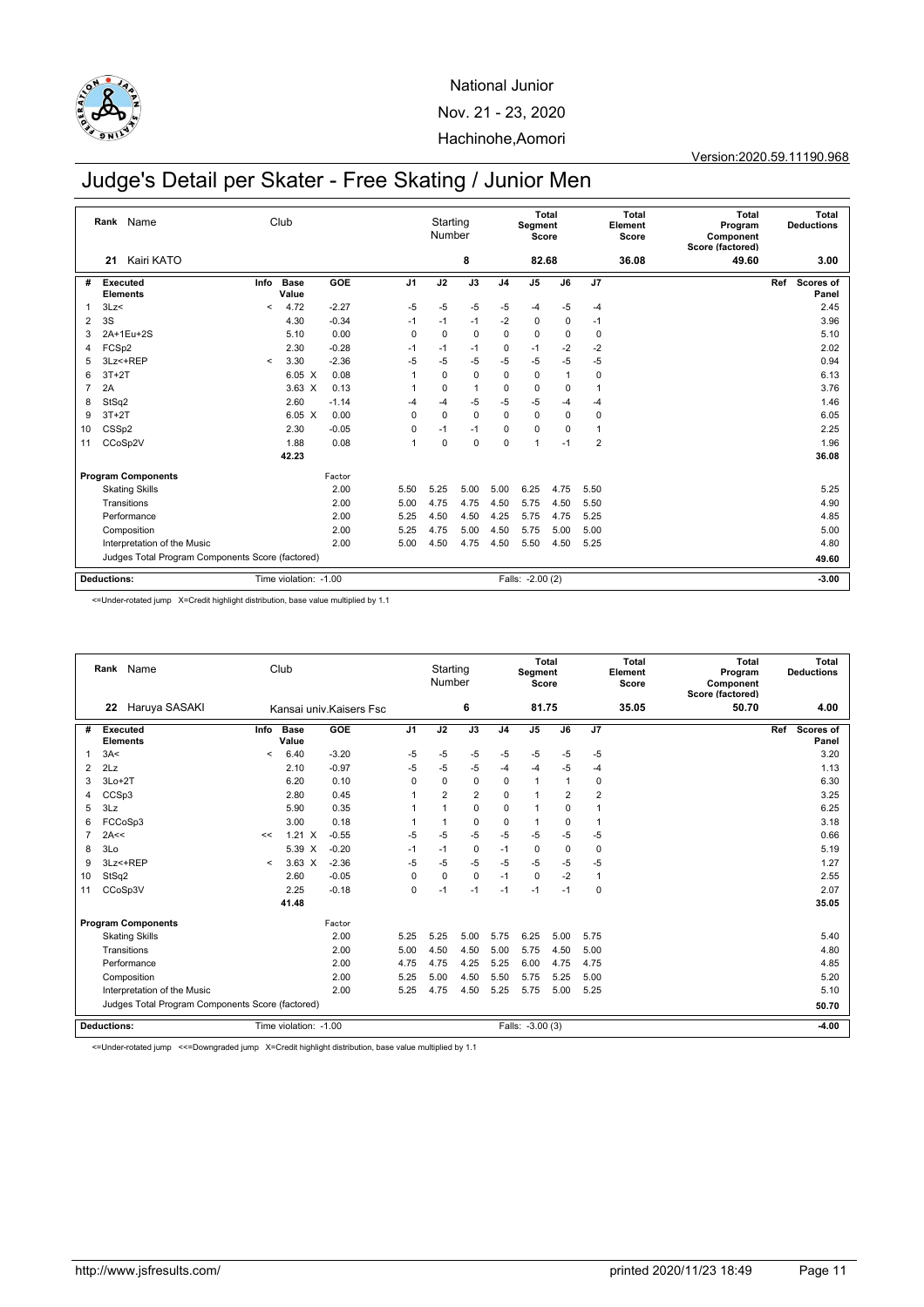

#### Version:2020.59.11190.968

## Judge's Detail per Skater - Free Skating / Junior Men

|    |                    | Rank Name                                        |         | Club                  |         |                | Starting<br>Number |                |                | Segment<br>Score | Total       |                | <b>Total</b><br>Element<br>Score | <b>Total</b><br>Program<br>Component<br>Score (factored) |     | <b>Total</b><br><b>Deductions</b> |
|----|--------------------|--------------------------------------------------|---------|-----------------------|---------|----------------|--------------------|----------------|----------------|------------------|-------------|----------------|----------------------------------|----------------------------------------------------------|-----|-----------------------------------|
|    | 21                 | Kairi KATO                                       |         |                       |         |                |                    | 8              |                | 82.68            |             |                | 36.08                            | 49.60                                                    |     | 3.00                              |
| #  |                    | <b>Executed</b><br><b>Elements</b>               | Info    | <b>Base</b><br>Value  | GOE     | J <sub>1</sub> | J2                 | J3             | J <sub>4</sub> | J <sub>5</sub>   | J6          | J <sub>7</sub> |                                  |                                                          | Ref | Scores of<br>Panel                |
|    | 3Lz<               |                                                  | $\prec$ | 4.72                  | $-2.27$ | $-5$           | $-5$               | $-5$           | $-5$           | -4               | $-5$        | $-4$           |                                  |                                                          |     | 2.45                              |
| 2  | 3S                 |                                                  |         | 4.30                  | $-0.34$ | $-1$           | $-1$               | $-1$           | $-2$           | $\mathbf 0$      | $\mathbf 0$ | $-1$           |                                  |                                                          |     | 3.96                              |
| 3  |                    | 2A+1Eu+2S                                        |         | 5.10                  | 0.00    | $\mathbf 0$    | $\mathbf 0$        | $\mathbf 0$    | $\mathbf 0$    | 0                | 0           | 0              |                                  |                                                          |     | 5.10                              |
| 4  | FCSp2              |                                                  |         | 2.30                  | $-0.28$ | $-1$           | $-1$               | $-1$           | 0              | $-1$             | $-2$        | $-2$           |                                  |                                                          |     | 2.02                              |
| 5  |                    | 3Lz<+REP                                         | $\prec$ | 3.30                  | $-2.36$ | $-5$           | $-5$               | $-5$           | $-5$           | $-5$             | -5          | $-5$           |                                  |                                                          |     | 0.94                              |
| 6  | $3T+2T$            |                                                  |         | $6.05\text{ X}$       | 0.08    |                | $\mathbf 0$        | $\mathbf 0$    | 0              | 0                |             | 0              |                                  |                                                          |     | 6.13                              |
| 7  | 2A                 |                                                  |         | $3.63 \times$         | 0.13    |                | $\mathbf 0$        | $\overline{1}$ | $\mathbf 0$    | $\mathbf 0$      | 0           | 1              |                                  |                                                          |     | 3.76                              |
| 8  | StSq2              |                                                  |         | 2.60                  | $-1.14$ | -4             | $-4$               | $-5$           | $-5$           | -5               | -4          | $-4$           |                                  |                                                          |     | 1.46                              |
| 9  | $3T+2T$            |                                                  |         | $6.05\text{ X}$       | 0.00    | $\Omega$       | $\mathbf 0$        | $\mathbf 0$    | $\mathbf 0$    | $\mathbf 0$      | $\mathbf 0$ | $\mathbf 0$    |                                  |                                                          |     | 6.05                              |
| 10 | CSS <sub>p2</sub>  |                                                  |         | 2.30                  | $-0.05$ | $\mathbf 0$    | $-1$               | $-1$           | $\Omega$       | $\mathbf 0$      | $\Omega$    | 1              |                                  |                                                          |     | 2.25                              |
| 11 |                    | CCoSp2V                                          |         | 1.88                  | 0.08    | -1             | $\mathbf 0$        | $\mathbf 0$    | $\mathbf 0$    | 1                | $-1$        | $\overline{2}$ |                                  |                                                          |     | 1.96                              |
|    |                    |                                                  |         | 42.23                 |         |                |                    |                |                |                  |             |                |                                  |                                                          |     | 36.08                             |
|    |                    | <b>Program Components</b>                        |         |                       | Factor  |                |                    |                |                |                  |             |                |                                  |                                                          |     |                                   |
|    |                    | <b>Skating Skills</b>                            |         |                       | 2.00    | 5.50           | 5.25               | 5.00           | 5.00           | 6.25             | 4.75        | 5.50           |                                  |                                                          |     | 5.25                              |
|    |                    | Transitions                                      |         |                       | 2.00    | 5.00           | 4.75               | 4.75           | 4.50           | 5.75             | 4.50        | 5.50           |                                  |                                                          |     | 4.90                              |
|    |                    | Performance                                      |         |                       | 2.00    | 5.25           | 4.50               | 4.50           | 4.25           | 5.75             | 4.75        | 5.25           |                                  |                                                          |     | 4.85                              |
|    |                    | Composition                                      |         |                       | 2.00    | 5.25           | 4.75               | 5.00           | 4.50           | 5.75             | 5.00        | 5.00           |                                  |                                                          |     | 5.00                              |
|    |                    | Interpretation of the Music                      |         |                       | 2.00    | 5.00           | 4.50               | 4.75           | 4.50           | 5.50             | 4.50        | 5.25           |                                  |                                                          |     | 4.80                              |
|    |                    | Judges Total Program Components Score (factored) |         |                       |         |                |                    |                |                |                  |             |                |                                  |                                                          |     | 49.60                             |
|    | <b>Deductions:</b> |                                                  |         | Time violation: -1.00 |         |                |                    |                |                | Falls: -2.00 (2) |             |                |                                  |                                                          |     | $-3.00$                           |

<=Under-rotated jump X=Credit highlight distribution, base value multiplied by 1.1

|                | Rank Name                                        |         | Club                  |                         |                | Starting<br>Number |                |                | Segment<br>Score | Total          |                | Total<br>Element<br>Score | <b>Total</b><br>Program<br>Component<br>Score (factored) | Total<br><b>Deductions</b>       |
|----------------|--------------------------------------------------|---------|-----------------------|-------------------------|----------------|--------------------|----------------|----------------|------------------|----------------|----------------|---------------------------|----------------------------------------------------------|----------------------------------|
|                | Haruya SASAKI<br>22                              |         |                       | Kansai univ Kaisers Fsc |                |                    | 6              |                | 81.75            |                |                | 35.05                     | 50.70                                                    | 4.00                             |
| #              | <b>Executed</b><br><b>Elements</b>               | Info    | <b>Base</b><br>Value  | GOE                     | J <sub>1</sub> | J2                 | J3             | J <sub>4</sub> | J <sub>5</sub>   | J6             | J7             |                           |                                                          | <b>Scores of</b><br>Ref<br>Panel |
| 1              | 3A<                                              | $\prec$ | 6.40                  | $-3.20$                 | $-5$           | $-5$               | $-5$           | -5             | $-5$             | $-5$           | $-5$           |                           |                                                          | 3.20                             |
| $\overline{2}$ | 2Lz                                              |         | 2.10                  | $-0.97$                 | $-5$           | $-5$               | $-5$           | $-4$           | $-4$             | $-5$           | $-4$           |                           |                                                          | 1.13                             |
| 3              | $3Lo+2T$                                         |         | 6.20                  | 0.10                    | 0              | $\mathbf 0$        | $\pmb{0}$      | 0              | $\mathbf{1}$     | $\overline{1}$ | 0              |                           |                                                          | 6.30                             |
| 4              | CCSp3                                            |         | 2.80                  | 0.45                    | $\mathbf{1}$   | $\overline{2}$     | $\overline{2}$ | 0              | $\mathbf{1}$     | $\overline{2}$ | $\overline{2}$ |                           |                                                          | 3.25                             |
| 5              | 3Lz                                              |         | 5.90                  | 0.35                    | 1              | $\mathbf{1}$       | $\mathbf 0$    | 0              | $\mathbf{1}$     | $\Omega$       | $\overline{1}$ |                           |                                                          | 6.25                             |
| 6              | FCCoSp3                                          |         | 3.00                  | 0.18                    | 1              | $\mathbf{1}$       | $\mathbf 0$    | 0              | $\mathbf{1}$     | 0              | $\overline{1}$ |                           |                                                          | 3.18                             |
| 7              | 2A<<                                             | <<      | $1.21 \times$         | $-0.55$                 | $-5$           | $-5$               | $-5$           | $-5$           | $-5$             | $-5$           | $-5$           |                           |                                                          | 0.66                             |
| 8              | 3 <sub>Lo</sub>                                  |         | 5.39 X                | $-0.20$                 | $-1$           | $-1$               | $\mathbf 0$    | $-1$           | $\mathbf 0$      | $\mathbf 0$    | $\mathbf 0$    |                           |                                                          | 5.19                             |
| 9              | 3Lz <+REP                                        | $\prec$ | $3.63 \times$         | $-2.36$                 | $-5$           | $-5$               | $-5$           | $-5$           | $-5$             | $-5$           | $-5$           |                           |                                                          | 1.27                             |
| 10             | StSq2                                            |         | 2.60                  | $-0.05$                 | $\mathbf 0$    | $\mathbf 0$        | $\mathbf 0$    | $-1$           | $\mathbf 0$      | $-2$           | $\mathbf{1}$   |                           |                                                          | 2.55                             |
| 11             | CCoSp3V                                          |         | 2.25                  | $-0.18$                 | $\mathbf 0$    | $-1$               | $-1$           | $-1$           | $-1$             | $-1$           | $\mathbf 0$    |                           |                                                          | 2.07                             |
|                |                                                  |         | 41.48                 |                         |                |                    |                |                |                  |                |                |                           |                                                          | 35.05                            |
|                | <b>Program Components</b>                        |         |                       | Factor                  |                |                    |                |                |                  |                |                |                           |                                                          |                                  |
|                | <b>Skating Skills</b>                            |         |                       | 2.00                    | 5.25           | 5.25               | 5.00           | 5.75           | 6.25             | 5.00           | 5.75           |                           |                                                          | 5.40                             |
|                | Transitions                                      |         |                       | 2.00                    | 5.00           | 4.50               | 4.50           | 5.00           | 5.75             | 4.50           | 5.00           |                           |                                                          | 4.80                             |
|                | Performance                                      |         |                       | 2.00                    | 4.75           | 4.75               | 4.25           | 5.25           | 6.00             | 4.75           | 4.75           |                           |                                                          | 4.85                             |
|                | Composition                                      |         |                       | 2.00                    | 5.25           | 5.00               | 4.50           | 5.50           | 5.75             | 5.25           | 5.00           |                           |                                                          | 5.20                             |
|                | Interpretation of the Music                      |         |                       | 2.00                    | 5.25           | 4.75               | 4.50           | 5.25           | 5.75             | 5.00           | 5.25           |                           |                                                          | 5.10                             |
|                | Judges Total Program Components Score (factored) |         |                       |                         |                |                    |                |                |                  |                |                |                           |                                                          | 50.70                            |
|                | <b>Deductions:</b>                               |         | Time violation: -1.00 |                         |                |                    |                |                | Falls: -3.00 (3) |                |                |                           |                                                          | $-4.00$                          |

<=Under-rotated jump <<=Downgraded jump X=Credit highlight distribution, base value multiplied by 1.1